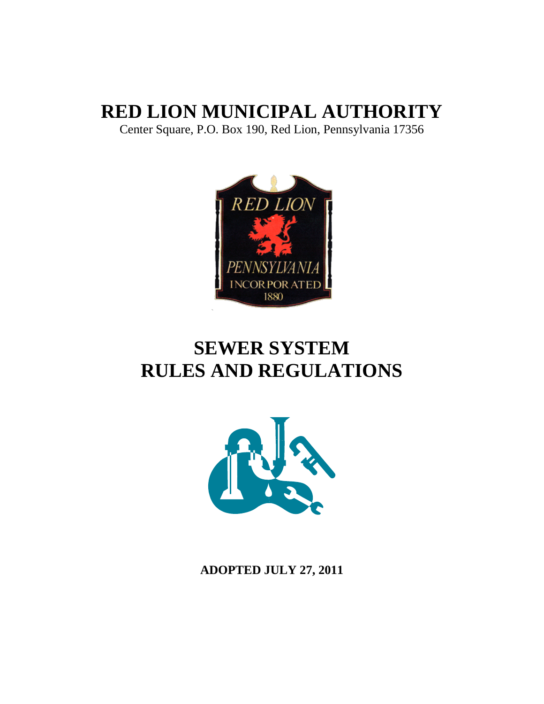# **RED LION MUNICIPAL AUTHORITY**

Center Square, P.O. Box 190, Red Lion, Pennsylvania 17356



# **SEWER SYSTEM RULES AND REGULATIONS**



**ADOPTED JULY 27, 2011**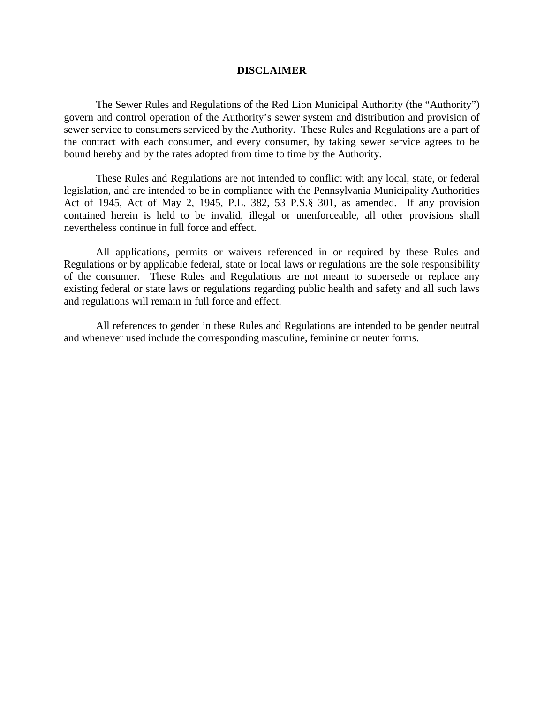#### **DISCLAIMER**

The Sewer Rules and Regulations of the Red Lion Municipal Authority (the "Authority") govern and control operation of the Authority's sewer system and distribution and provision of sewer service to consumers serviced by the Authority. These Rules and Regulations are a part of the contract with each consumer, and every consumer, by taking sewer service agrees to be bound hereby and by the rates adopted from time to time by the Authority.

These Rules and Regulations are not intended to conflict with any local, state, or federal legislation, and are intended to be in compliance with the Pennsylvania Municipality Authorities Act of 1945, Act of May 2, 1945, P.L. 382, 53 P.S.§ 301, as amended. If any provision contained herein is held to be invalid, illegal or unenforceable, all other provisions shall nevertheless continue in full force and effect.

All applications, permits or waivers referenced in or required by these Rules and Regulations or by applicable federal, state or local laws or regulations are the sole responsibility of the consumer. These Rules and Regulations are not meant to supersede or replace any existing federal or state laws or regulations regarding public health and safety and all such laws and regulations will remain in full force and effect.

All references to gender in these Rules and Regulations are intended to be gender neutral and whenever used include the corresponding masculine, feminine or neuter forms.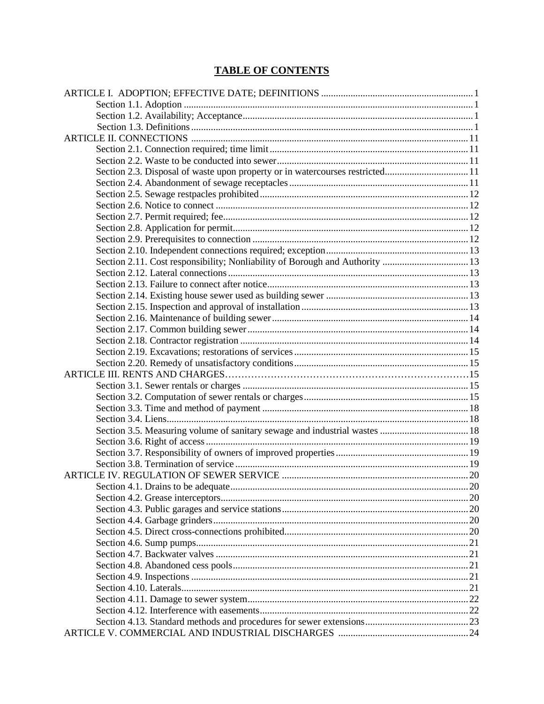# **TABLE OF CONTENTS**

| Section 2.3. Disposal of waste upon property or in watercourses restricted 11 |  |
|-------------------------------------------------------------------------------|--|
|                                                                               |  |
|                                                                               |  |
|                                                                               |  |
|                                                                               |  |
|                                                                               |  |
|                                                                               |  |
|                                                                               |  |
|                                                                               |  |
|                                                                               |  |
|                                                                               |  |
|                                                                               |  |
|                                                                               |  |
|                                                                               |  |
|                                                                               |  |
|                                                                               |  |
|                                                                               |  |
|                                                                               |  |
|                                                                               |  |
|                                                                               |  |
|                                                                               |  |
|                                                                               |  |
|                                                                               |  |
|                                                                               |  |
|                                                                               |  |
|                                                                               |  |
|                                                                               |  |
|                                                                               |  |
|                                                                               |  |
|                                                                               |  |
|                                                                               |  |
|                                                                               |  |
|                                                                               |  |
|                                                                               |  |
|                                                                               |  |
|                                                                               |  |
|                                                                               |  |
|                                                                               |  |
|                                                                               |  |
|                                                                               |  |
|                                                                               |  |
|                                                                               |  |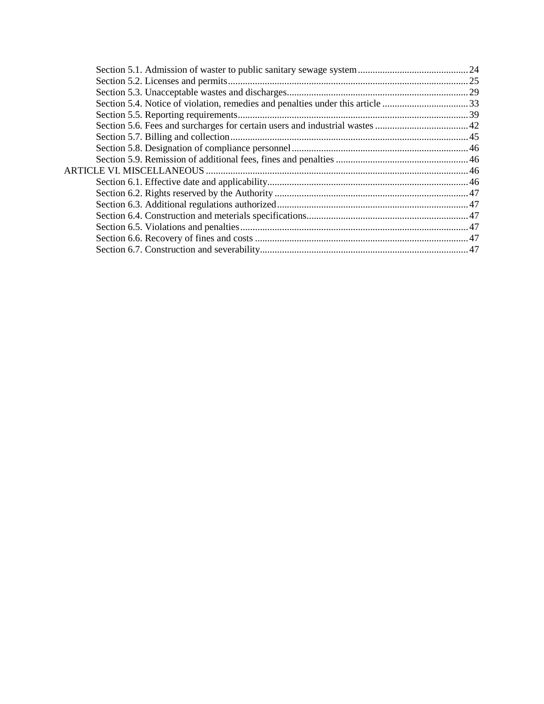| Section 5.4. Notice of violation, remedies and penalties under this article 33 |  |
|--------------------------------------------------------------------------------|--|
|                                                                                |  |
|                                                                                |  |
|                                                                                |  |
|                                                                                |  |
|                                                                                |  |
|                                                                                |  |
|                                                                                |  |
|                                                                                |  |
|                                                                                |  |
|                                                                                |  |
|                                                                                |  |
|                                                                                |  |
|                                                                                |  |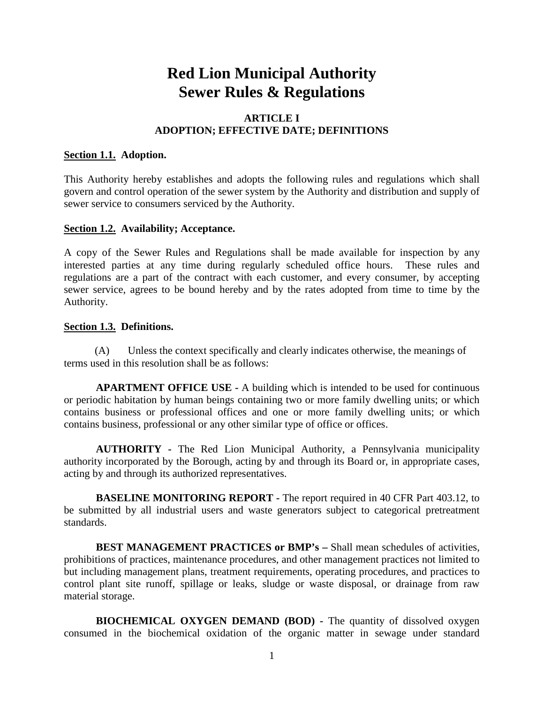# **Red Lion Municipal Authority Sewer Rules & Regulations**

# **ARTICLE I ADOPTION; EFFECTIVE DATE; DEFINITIONS**

#### **Section 1.1. Adoption.**

This Authority hereby establishes and adopts the following rules and regulations which shall govern and control operation of the sewer system by the Authority and distribution and supply of sewer service to consumers serviced by the Authority.

# **Section 1.2. Availability; Acceptance.**

A copy of the Sewer Rules and Regulations shall be made available for inspection by any interested parties at any time during regularly scheduled office hours. These rules and regulations are a part of the contract with each customer, and every consumer, by accepting sewer service, agrees to be bound hereby and by the rates adopted from time to time by the Authority.

#### **Section 1.3. Definitions.**

(A) Unless the context specifically and clearly indicates otherwise, the meanings of terms used in this resolution shall be as follows:

**APARTMENT OFFICE USE -** A building which is intended to be used for continuous or periodic habitation by human beings containing two or more family dwelling units; or which contains business or professional offices and one or more family dwelling units; or which contains business, professional or any other similar type of office or offices.

**AUTHORITY -** The Red Lion Municipal Authority, a Pennsylvania municipality authority incorporated by the Borough, acting by and through its Board or, in appropriate cases, acting by and through its authorized representatives.

**BASELINE MONITORING REPORT -** The report required in 40 CFR Part 403.12, to be submitted by all industrial users and waste generators subject to categorical pretreatment standards.

**BEST MANAGEMENT PRACTICES or BMP's –** Shall mean schedules of activities, prohibitions of practices, maintenance procedures, and other management practices not limited to but including management plans, treatment requirements, operating procedures, and practices to control plant site runoff, spillage or leaks, sludge or waste disposal, or drainage from raw material storage.

**BIOCHEMICAL OXYGEN DEMAND (BOD) -** The quantity of dissolved oxygen consumed in the biochemical oxidation of the organic matter in sewage under standard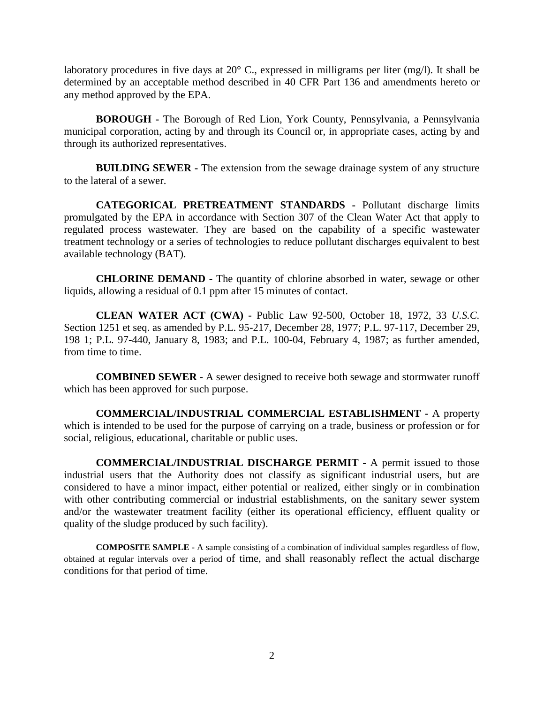laboratory procedures in five days at 20° C., expressed in milligrams per liter (mg/l). It shall be determined by an acceptable method described in 40 CFR Part 136 and amendments hereto or any method approved by the EPA.

**BOROUGH -** The Borough of Red Lion, York County, Pennsylvania, a Pennsylvania municipal corporation, acting by and through its Council or, in appropriate cases, acting by and through its authorized representatives.

**BUILDING SEWER -** The extension from the sewage drainage system of any structure to the lateral of a sewer.

**CATEGORICAL PRETREATMENT STANDARDS -** Pollutant discharge limits promulgated by the EPA in accordance with Section 307 of the Clean Water Act that apply to regulated process wastewater. They are based on the capability of a specific wastewater treatment technology or a series of technologies to reduce pollutant discharges equivalent to best available technology (BAT).

**CHLORINE DEMAND -** The quantity of chlorine absorbed in water, sewage or other liquids, allowing a residual of 0.1 ppm after 15 minutes of contact.

**CLEAN WATER ACT (CWA) -** Public Law 92-500, October 18, 1972, 33 *U.S.C.*  Section 1251 et seq. as amended by P.L. 95-217, December 28, 1977; P.L. 97-117, December 29, 198 1; P.L. 97-440, January 8, 1983; and P.L. 100-04, February 4, 1987; as further amended, from time to time.

**COMBINED SEWER -** A sewer designed to receive both sewage and stormwater runoff which has been approved for such purpose.

**COMMERCIAL/INDUSTRIAL COMMERCIAL ESTABLISHMENT -** A property which is intended to be used for the purpose of carrying on a trade, business or profession or for social, religious, educational, charitable or public uses.

**COMMERCIAL/INDUSTRIAL DISCHARGE PERMIT -** A permit issued to those industrial users that the Authority does not classify as significant industrial users, but are considered to have a minor impact, either potential or realized, either singly or in combination with other contributing commercial or industrial establishments, on the sanitary sewer system and/or the wastewater treatment facility (either its operational efficiency, effluent quality or quality of the sludge produced by such facility).

**COMPOSITE SAMPLE -** A sample consisting of a combination of individual samples regardless of flow, obtained at regular intervals over a period of time, and shall reasonably reflect the actual discharge conditions for that period of time.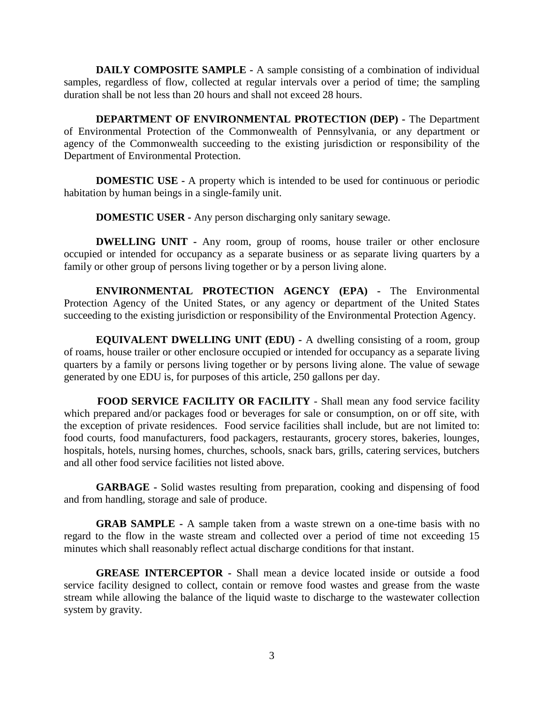**DAILY COMPOSITE SAMPLE -** A sample consisting of a combination of individual samples, regardless of flow, collected at regular intervals over a period of time; the sampling duration shall be not less than 20 hours and shall not exceed 28 hours.

**DEPARTMENT OF ENVIRONMENTAL PROTECTION (DEP) -** The Department of Environmental Protection of the Commonwealth of Pennsylvania, or any department or agency of the Commonwealth succeeding to the existing jurisdiction or responsibility of the Department of Environmental Protection.

**DOMESTIC USE -** A property which is intended to be used for continuous or periodic habitation by human beings in a single-family unit.

**DOMESTIC USER -** Any person discharging only sanitary sewage.

**DWELLING UNIT -** Any room, group of rooms, house trailer or other enclosure occupied or intended for occupancy as a separate business or as separate living quarters by a family or other group of persons living together or by a person living alone.

**ENVIRONMENTAL PROTECTION AGENCY (EPA) -** The Environmental Protection Agency of the United States, or any agency or department of the United States succeeding to the existing jurisdiction or responsibility of the Environmental Protection Agency.

**EQUIVALENT DWELLING UNIT (EDU) -** A dwelling consisting of a room, group of roams, house trailer or other enclosure occupied or intended for occupancy as a separate living quarters by a family or persons living together or by persons living alone. The value of sewage generated by one EDU is, for purposes of this article, 250 gallons per day.

**FOOD SERVICE FACILITY OR FACILITY** *-* Shall mean any food service facility which prepared and/or packages food or beverages for sale or consumption, on or off site, with the exception of private residences. Food service facilities shall include, but are not limited to: food courts, food manufacturers, food packagers, restaurants, grocery stores, bakeries, lounges, hospitals, hotels, nursing homes, churches, schools, snack bars, grills, catering services, butchers and all other food service facilities not listed above.

**GARBAGE -** Solid wastes resulting from preparation, cooking and dispensing of food and from handling, storage and sale of produce.

**GRAB SAMPLE -** A sample taken from a waste strewn on a one-time basis with no regard to the flow in the waste stream and collected over a period of time not exceeding 15 minutes which shall reasonably reflect actual discharge conditions for that instant.

**GREASE INTERCEPTOR -** Shall mean a device located inside or outside a food service facility designed to collect, contain or remove food wastes and grease from the waste stream while allowing the balance of the liquid waste to discharge to the wastewater collection system by gravity.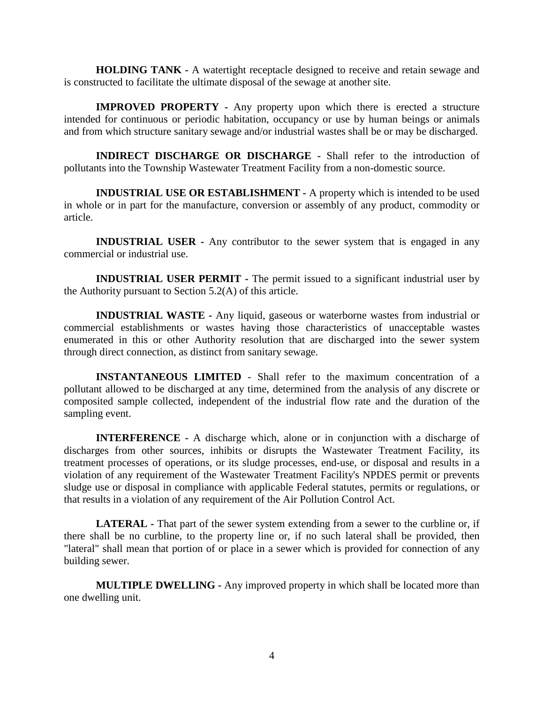**HOLDING TANK -** A watertight receptacle designed to receive and retain sewage and is constructed to facilitate the ultimate disposal of the sewage at another site.

**IMPROVED PROPERTY -** Any property upon which there is erected a structure intended for continuous or periodic habitation, occupancy or use by human beings or animals and from which structure sanitary sewage and/or industrial wastes shall be or may be discharged.

**INDIRECT DISCHARGE OR DISCHARGE -** Shall refer to the introduction of pollutants into the Township Wastewater Treatment Facility from a non-domestic source.

**INDUSTRIAL USE OR ESTABLISHMENT -** A property which is intended to be used in whole or in part for the manufacture, conversion or assembly of any product, commodity or article.

**INDUSTRIAL USER -** Any contributor to the sewer system that is engaged in any commercial or industrial use.

**INDUSTRIAL USER PERMIT -** The permit issued to a significant industrial user by the Authority pursuant to Section 5.2(A) of this article.

**INDUSTRIAL WASTE -** Any liquid, gaseous or waterborne wastes from industrial or commercial establishments or wastes having those characteristics of unacceptable wastes enumerated in this or other Authority resolution that are discharged into the sewer system through direct connection, as distinct from sanitary sewage.

**INSTANTANEOUS LIMITED** - Shall refer to the maximum concentration of a pollutant allowed to be discharged at any time, determined from the analysis of any discrete or composited sample collected, independent of the industrial flow rate and the duration of the sampling event.

**INTERFERENCE -** A discharge which, alone or in conjunction with a discharge of discharges from other sources, inhibits or disrupts the Wastewater Treatment Facility, its treatment processes of operations, or its sludge processes, end-use, or disposal and results in a violation of any requirement of the Wastewater Treatment Facility's NPDES permit or prevents sludge use or disposal in compliance with applicable Federal statutes, permits or regulations, or that results in a violation of any requirement of the Air Pollution Control Act.

**LATERAL -** That part of the sewer system extending from a sewer to the curbline or, if there shall be no curbline, to the property line or, if no such lateral shall be provided, then "lateral" shall mean that portion of or place in a sewer which is provided for connection of any building sewer.

**MULTIPLE DWELLING -** Any improved property in which shall be located more than one dwelling unit.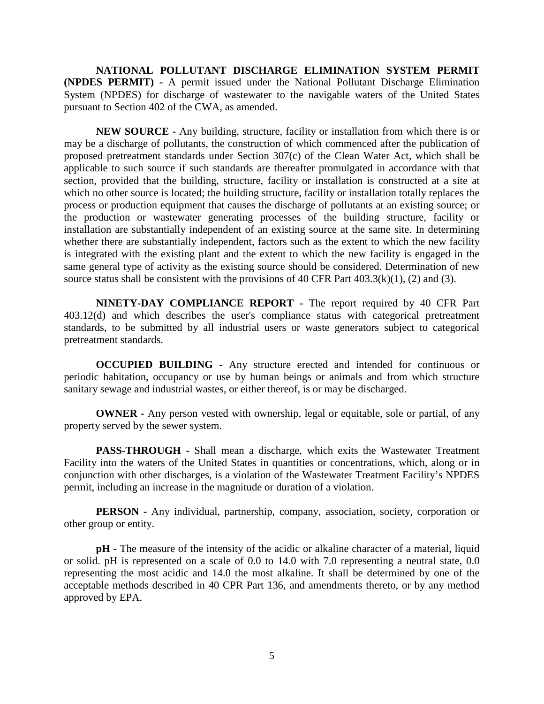**NATIONAL POLLUTANT DISCHARGE ELIMINATION SYSTEM PERMIT (NPDES PERMIT) -** A permit issued under the National Pollutant Discharge Elimination System (NPDES) for discharge of wastewater to the navigable waters of the United States pursuant to Section 402 of the CWA, as amended.

**NEW SOURCE -** Any building, structure, facility or installation from which there is or may be a discharge of pollutants, the construction of which commenced after the publication of proposed pretreatment standards under Section 307(c) of the Clean Water Act, which shall be applicable to such source if such standards are thereafter promulgated in accordance with that section, provided that the building, structure, facility or installation is constructed at a site at which no other source is located; the building structure, facility or installation totally replaces the process or production equipment that causes the discharge of pollutants at an existing source; or the production or wastewater generating processes of the building structure, facility or installation are substantially independent of an existing source at the same site. In determining whether there are substantially independent, factors such as the extent to which the new facility is integrated with the existing plant and the extent to which the new facility is engaged in the same general type of activity as the existing source should be considered. Determination of new source status shall be consistent with the provisions of 40 CFR Part  $403.3(k)(1)$ , (2) and (3).

**NINETY-DAY COMPLIANCE REPORT -** The report required by 40 CFR Part 403.12(d) and which describes the user's compliance status with categorical pretreatment standards, to be submitted by all industrial users or waste generators subject to categorical pretreatment standards.

**OCCUPIED BUILDING -** Any structure erected and intended for continuous or periodic habitation, occupancy or use by human beings or animals and from which structure sanitary sewage and industrial wastes, or either thereof, is or may be discharged.

**OWNER** - Any person vested with ownership, legal or equitable, sole or partial, of any property served by the sewer system.

**PASS-THROUGH -** Shall mean a discharge, which exits the Wastewater Treatment Facility into the waters of the United States in quantities or concentrations, which, along or in conjunction with other discharges, is a violation of the Wastewater Treatment Facility's NPDES permit, including an increase in the magnitude or duration of a violation.

**PERSON -** Any individual, partnership, company, association, society, corporation or other group or entity.

**pH -** The measure of the intensity of the acidic or alkaline character of a material, liquid or solid. pH is represented on a scale of 0.0 to 14.0 with 7.0 representing a neutral state, 0.0 representing the most acidic and 14.0 the most alkaline. It shall be determined by one of the acceptable methods described in 40 CPR Part 136, and amendments thereto, or by any method approved by EPA.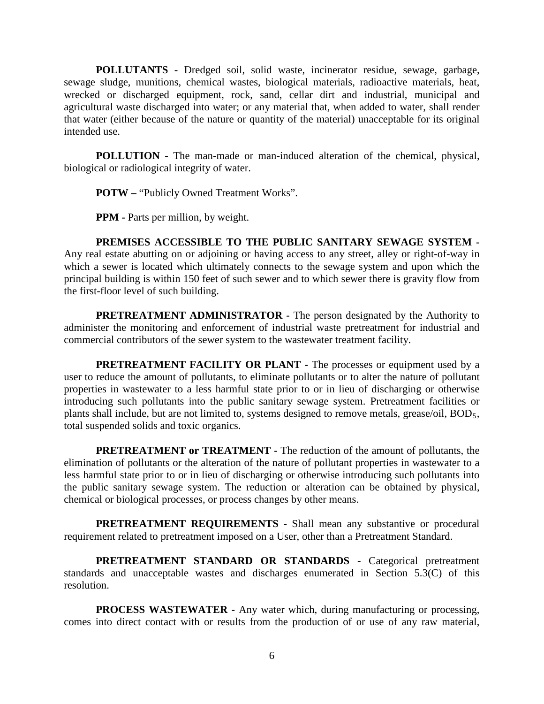**POLLUTANTS -** Dredged soil, solid waste, incinerator residue, sewage, garbage, sewage sludge, munitions, chemical wastes, biological materials, radioactive materials, heat, wrecked or discharged equipment, rock, sand, cellar dirt and industrial, municipal and agricultural waste discharged into water; or any material that, when added to water, shall render that water (either because of the nature or quantity of the material) unacceptable for its original intended use.

**POLLUTION -** The man-made or man-induced alteration of the chemical, physical, biological or radiological integrity of water.

**POTW –** "Publicly Owned Treatment Works".

**PPM -** Parts per million, by weight.

**PREMISES ACCESSIBLE TO THE PUBLIC SANITARY SEWAGE SYSTEM -** Any real estate abutting on or adjoining or having access to any street, alley or right-of-way in which a sewer is located which ultimately connects to the sewage system and upon which the principal building is within 150 feet of such sewer and to which sewer there is gravity flow from the first-floor level of such building.

**PRETREATMENT ADMINISTRATOR -** The person designated by the Authority to administer the monitoring and enforcement of industrial waste pretreatment for industrial and commercial contributors of the sewer system to the wastewater treatment facility.

**PRETREATMENT FACILITY OR PLANT -** The processes or equipment used by a user to reduce the amount of pollutants, to eliminate pollutants or to alter the nature of pollutant properties in wastewater to a less harmful state prior to or in lieu of discharging or otherwise introducing such pollutants into the public sanitary sewage system. Pretreatment facilities or plants shall include, but are not limited to, systems designed to remove metals, grease/oil, BOD<sub>5</sub>, total suspended solids and toxic organics.

**PRETREATMENT or TREATMENT -** The reduction of the amount of pollutants, the elimination of pollutants or the alteration of the nature of pollutant properties in wastewater to a less harmful state prior to or in lieu of discharging or otherwise introducing such pollutants into the public sanitary sewage system. The reduction or alteration can be obtained by physical, chemical or biological processes, or process changes by other means.

**PRETREATMENT REQUIREMENTS** - Shall mean any substantive or procedural requirement related to pretreatment imposed on a User, other than a Pretreatment Standard.

**PRETREATMENT STANDARD OR STANDARDS -** Categorical pretreatment standards and unacceptable wastes and discharges enumerated in Section 5.3(C) of this resolution.

**PROCESS WASTEWATER -** Any water which, during manufacturing or processing, comes into direct contact with or results from the production of or use of any raw material,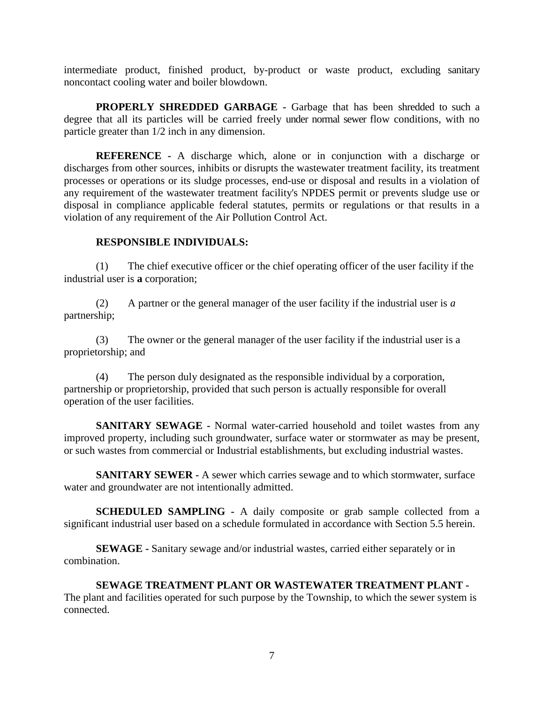intermediate product, finished product, by-product or waste product, excluding sanitary noncontact cooling water and boiler blowdown.

**PROPERLY SHREDDED GARBAGE -** Garbage that has been shredded to such a degree that all its particles will be carried freely under normal sewer flow conditions, with no particle greater than 1/2 inch in any dimension.

**REFERENCE -** A discharge which, alone or in conjunction with a discharge or discharges from other sources, inhibits or disrupts the wastewater treatment facility, its treatment processes or operations or its sludge processes, end-use or disposal and results in a violation of any requirement of the wastewater treatment facility's NPDES permit or prevents sludge use or disposal in compliance applicable federal statutes, permits or regulations or that results in a violation of any requirement of the Air Pollution Control Act.

# **RESPONSIBLE INDIVIDUALS:**

(1) The chief executive officer or the chief operating officer of the user facility if the industrial user is **a** corporation;

(2) A partner or the general manager of the user facility if the industrial user is *a*  partnership;

(3) The owner or the general manager of the user facility if the industrial user is a proprietorship; and

(4) The person duly designated as the responsible individual by a corporation, partnership or proprietorship, provided that such person is actually responsible for overall operation of the user facilities.

**SANITARY SEWAGE -** Normal water-carried household and toilet wastes from any improved property, including such groundwater, surface water or stormwater as may be present, or such wastes from commercial or Industrial establishments, but excluding industrial wastes.

**SANITARY SEWER -** A sewer which carries sewage and to which stormwater, surface water and groundwater are not intentionally admitted.

**SCHEDULED SAMPLING -** A daily composite or grab sample collected from a significant industrial user based on a schedule formulated in accordance with Section 5.5 herein.

**SEWAGE -** Sanitary sewage and/or industrial wastes, carried either separately or in combination.

**SEWAGE TREATMENT PLANT OR WASTEWATER TREATMENT PLANT -** The plant and facilities operated for such purpose by the Township, to which the sewer system is connected.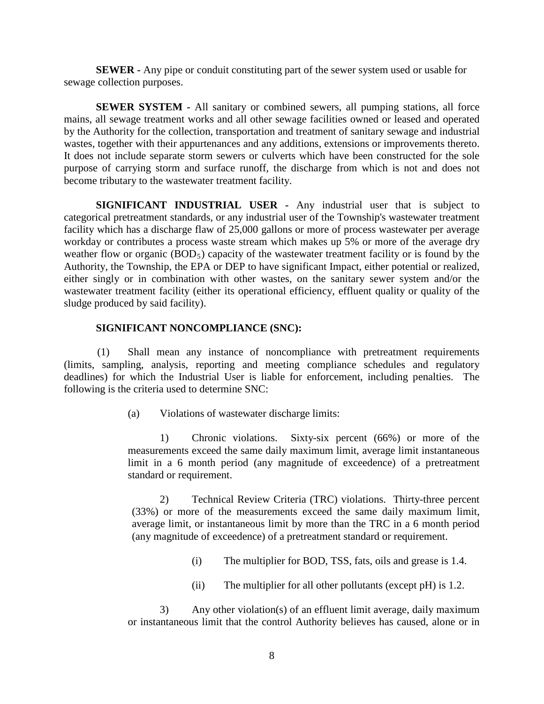**SEWER -** Any pipe or conduit constituting part of the sewer system used or usable for sewage collection purposes.

**SEWER SYSTEM -** All sanitary or combined sewers, all pumping stations, all force mains, all sewage treatment works and all other sewage facilities owned or leased and operated by the Authority for the collection, transportation and treatment of sanitary sewage and industrial wastes, together with their appurtenances and any additions, extensions or improvements thereto. It does not include separate storm sewers or culverts which have been constructed for the sole purpose of carrying storm and surface runoff, the discharge from which is not and does not become tributary to the wastewater treatment facility.

**SIGNIFICANT INDUSTRIAL USER -** Any industrial user that is subject to categorical pretreatment standards, or any industrial user of the Township's wastewater treatment facility which has a discharge flaw of 25,000 gallons or more of process wastewater per average workday or contributes a process waste stream which makes up 5% or more of the average dry weather flow or organic  $(BOD<sub>5</sub>)$  capacity of the wastewater treatment facility or is found by the Authority, the Township, the EPA or DEP to have significant Impact, either potential or realized, either singly or in combination with other wastes, on the sanitary sewer system and/or the wastewater treatment facility (either its operational efficiency, effluent quality or quality of the sludge produced by said facility).

#### **SIGNIFICANT NONCOMPLIANCE (SNC):**

(1) Shall mean any instance of noncompliance with pretreatment requirements (limits, sampling, analysis, reporting and meeting compliance schedules and regulatory deadlines) for which the Industrial User is liable for enforcement, including penalties. The following is the criteria used to determine SNC:

(a) Violations of wastewater discharge limits:

1) Chronic violations. Sixty-six percent (66%) or more of the measurements exceed the same daily maximum limit, average limit instantaneous limit in a 6 month period (any magnitude of exceedence) of a pretreatment standard or requirement.

2) Technical Review Criteria (TRC) violations. Thirty-three percent (33%) or more of the measurements exceed the same daily maximum limit, average limit, or instantaneous limit by more than the TRC in a 6 month period (any magnitude of exceedence) of a pretreatment standard or requirement.

- (i) The multiplier for BOD, TSS, fats, oils and grease is 1.4.
- (ii) The multiplier for all other pollutants (except pH) is 1.2.

3) Any other violation(s) of an effluent limit average, daily maximum or instantaneous limit that the control Authority believes has caused, alone or in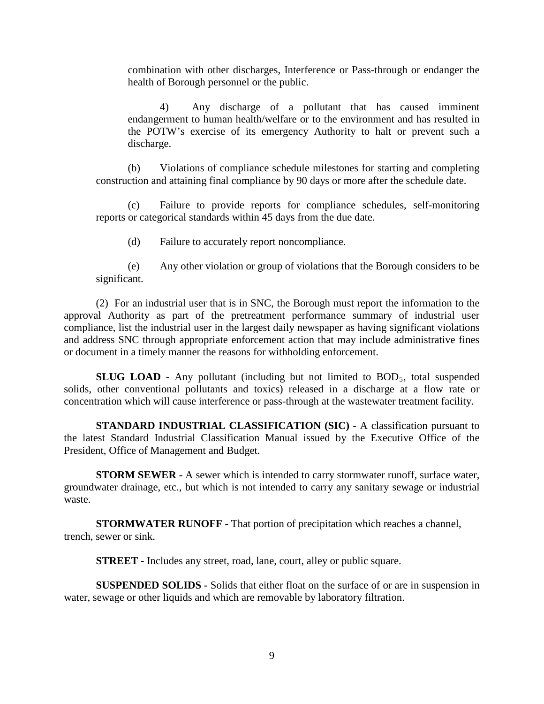combination with other discharges, Interference or Pass-through or endanger the health of Borough personnel or the public.

4) Any discharge of a pollutant that has caused imminent endangerment to human health/welfare or to the environment and has resulted in the POTW's exercise of its emergency Authority to halt or prevent such a discharge.

(b) Violations of compliance schedule milestones for starting and completing construction and attaining final compliance by 90 days or more after the schedule date.

(c) Failure to provide reports for compliance schedules, self-monitoring reports or categorical standards within 45 days from the due date.

(d) Failure to accurately report noncompliance.

(e) Any other violation or group of violations that the Borough considers to be significant.

(2) For an industrial user that is in SNC, the Borough must report the information to the approval Authority as part of the pretreatment performance summary of industrial user compliance, list the industrial user in the largest daily newspaper as having significant violations and address SNC through appropriate enforcement action that may include administrative fines or document in a timely manner the reasons for withholding enforcement.

**SLUG LOAD -** Any pollutant (including but not limited to BOD<sub>5</sub>, total suspended solids, other conventional pollutants and toxics) released in a discharge at a flow rate or concentration which will cause interference or pass-through at the wastewater treatment facility.

**STANDARD INDUSTRIAL CLASSIFICATION (SIC) -** A classification pursuant to the latest Standard Industrial Classification Manual issued by the Executive Office of the President, Office of Management and Budget.

**STORM SEWER -** A sewer which is intended to carry stormwater runoff, surface water, groundwater drainage, etc., but which is not intended to carry any sanitary sewage or industrial waste.

**STORMWATER RUNOFF -** That portion of precipitation which reaches a channel, trench, sewer or sink.

**STREET -** Includes any street, road, lane, court, alley or public square.

**SUSPENDED SOLIDS -** Solids that either float on the surface of or are in suspension in water, sewage or other liquids and which are removable by laboratory filtration.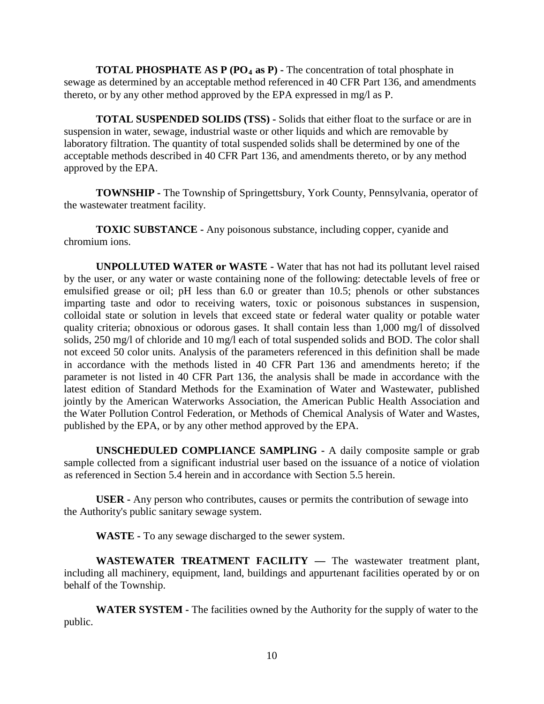**TOTAL PHOSPHATE AS P (PO<sub>4</sub> as P) -** The concentration of total phosphate in sewage as determined by an acceptable method referenced in 40 CFR Part 136, and amendments thereto, or by any other method approved by the EPA expressed in mg/l as P.

**TOTAL SUSPENDED SOLIDS (TSS) -** Solids that either float to the surface or are in suspension in water, sewage, industrial waste or other liquids and which are removable by laboratory filtration. The quantity of total suspended solids shall be determined by one of the acceptable methods described in 40 CFR Part 136, and amendments thereto, or by any method approved by the EPA.

**TOWNSHIP -** The Township of Springettsbury, York County, Pennsylvania, operator of the wastewater treatment facility.

**TOXIC SUBSTANCE -** Any poisonous substance, including copper, cyanide and chromium ions.

**UNPOLLUTED WATER or WASTE -** Water that has not had its pollutant level raised by the user, or any water or waste containing none of the following: detectable levels of free or emulsified grease or oil; pH less than 6.0 or greater than 10.5; phenols or other substances imparting taste and odor to receiving waters, toxic or poisonous substances in suspension, colloidal state or solution in levels that exceed state or federal water quality or potable water quality criteria; obnoxious or odorous gases. It shall contain less than 1,000 mg/l of dissolved solids, 250 mg/l of chloride and 10 mg/l each of total suspended solids and BOD. The color shall not exceed 50 color units. Analysis of the parameters referenced in this definition shall be made in accordance with the methods listed in 40 CFR Part 136 and amendments hereto; if the parameter is not listed in 40 CFR Part 136, the analysis shall be made in accordance with the latest edition of Standard Methods for the Examination of Water and Wastewater, published jointly by the American Waterworks Association, the American Public Health Association and the Water Pollution Control Federation, or Methods of Chemical Analysis of Water and Wastes, published by the EPA, or by any other method approved by the EPA.

**UNSCHEDULED COMPLIANCE SAMPLING -** A daily composite sample or grab sample collected from a significant industrial user based on the issuance of a notice of violation as referenced in Section 5.4 herein and in accordance with Section 5.5 herein.

**USER -** Any person who contributes, causes or permits the contribution of sewage into the Authority's public sanitary sewage system.

**WASTE -** To any sewage discharged to the sewer system.

**WASTEWATER TREATMENT FACILITY —** The wastewater treatment plant, including all machinery, equipment, land, buildings and appurtenant facilities operated by or on behalf of the Township.

**WATER SYSTEM -** The facilities owned by the Authority for the supply of water to the public.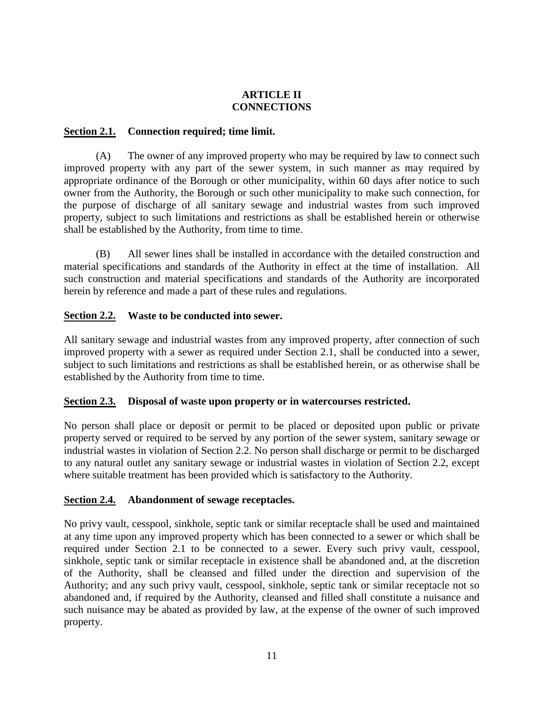# **ARTICLE II CONNECTIONS**

# **Section 2.1. Connection required; time limit.**

(A) The owner of any improved property who may be required by law to connect such improved property with any part of the sewer system, in such manner as may required by appropriate ordinance of the Borough or other municipality, within 60 days after notice to such owner from the Authority, the Borough or such other municipality to make such connection, for the purpose of discharge of all sanitary sewage and industrial wastes from such improved property, subject to such limitations and restrictions as shall be established herein or otherwise shall be established by the Authority, from time to time.

(B) All sewer lines shall be installed in accordance with the detailed construction and material specifications and standards of the Authority in effect at the time of installation. All such construction and material specifications and standards of the Authority are incorporated herein by reference and made a part of these rules and regulations.

# **Section 2.2. Waste to be conducted into sewer.**

All sanitary sewage and industrial wastes from any improved property, after connection of such improved property with a sewer as required under Section 2.1, shall be conducted into a sewer, subject to such limitations and restrictions as shall be established herein, or as otherwise shall be established by the Authority from time to time.

#### **Section 2.3. Disposal of waste upon property or in watercourses restricted.**

No person shall place or deposit or permit to be placed or deposited upon public or private property served or required to be served by any portion of the sewer system, sanitary sewage or industrial wastes in violation of Section 2.2. No person shall discharge or permit to be discharged to any natural outlet any sanitary sewage or industrial wastes in violation of Section 2.2, except where suitable treatment has been provided which is satisfactory to the Authority.

#### **Section 2.4. Abandonment of sewage receptacles.**

No privy vault, cesspool, sinkhole, septic tank or similar receptacle shall be used and maintained at any time upon any improved property which has been connected to a sewer or which shall be required under Section 2.1 to be connected to a sewer. Every such privy vault, cesspool, sinkhole, septic tank or similar receptacle in existence shall be abandoned and, at the discretion of the Authority, shall be cleansed and filled under the direction and supervision of the Authority; and any such privy vault, cesspool, sinkhole, septic tank or similar receptacle not so abandoned and, if required by the Authority, cleansed and filled shall constitute a nuisance and such nuisance may be abated as provided by law, at the expense of the owner of such improved property.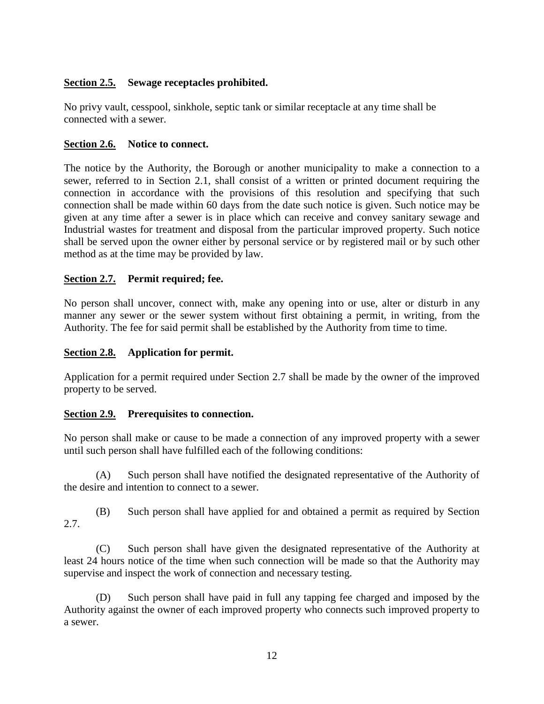# **Section 2.5. Sewage receptacles prohibited.**

No privy vault, cesspool, sinkhole, septic tank or similar receptacle at any time shall be connected with a sewer.

#### **Section 2.6. Notice to connect.**

The notice by the Authority, the Borough or another municipality to make a connection to a sewer, referred to in Section 2.1, shall consist of a written or printed document requiring the connection in accordance with the provisions of this resolution and specifying that such connection shall be made within 60 days from the date such notice is given. Such notice may be given at any time after a sewer is in place which can receive and convey sanitary sewage and Industrial wastes for treatment and disposal from the particular improved property. Such notice shall be served upon the owner either by personal service or by registered mail or by such other method as at the time may be provided by law.

# **Section 2.7. Permit required; fee.**

No person shall uncover, connect with, make any opening into or use, alter or disturb in any manner any sewer or the sewer system without first obtaining a permit, in writing, from the Authority. The fee for said permit shall be established by the Authority from time to time.

#### **Section 2.8. Application for permit.**

Application for a permit required under Section 2.7 shall be made by the owner of the improved property to be served.

#### **Section 2.9. Prerequisites to connection.**

No person shall make or cause to be made a connection of any improved property with a sewer until such person shall have fulfilled each of the following conditions:

(A) Such person shall have notified the designated representative of the Authority of the desire and intention to connect to a sewer.

(B) Such person shall have applied for and obtained a permit as required by Section 2.7.

(C) Such person shall have given the designated representative of the Authority at least 24 hours notice of the time when such connection will be made so that the Authority may supervise and inspect the work of connection and necessary testing.

(D) Such person shall have paid in full any tapping fee charged and imposed by the Authority against the owner of each improved property who connects such improved property to a sewer.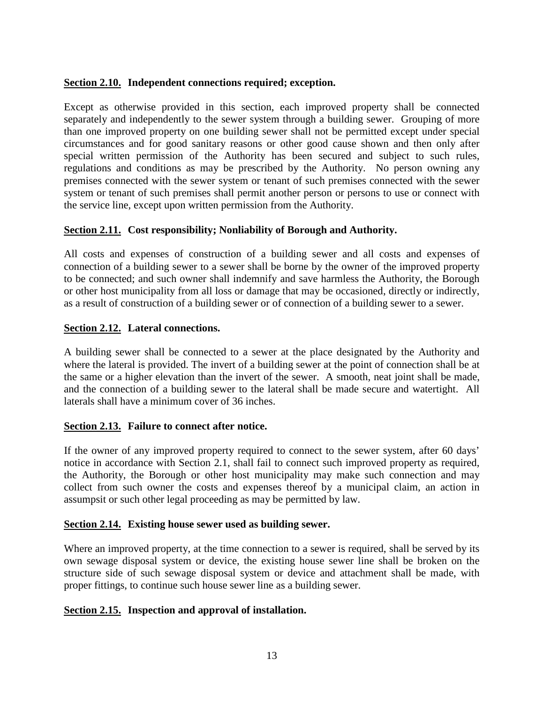# **Section 2.10. Independent connections required; exception.**

Except as otherwise provided in this section, each improved property shall be connected separately and independently to the sewer system through a building sewer. Grouping of more than one improved property on one building sewer shall not be permitted except under special circumstances and for good sanitary reasons or other good cause shown and then only after special written permission of the Authority has been secured and subject to such rules, regulations and conditions as may be prescribed by the Authority. No person owning any premises connected with the sewer system or tenant of such premises connected with the sewer system or tenant of such premises shall permit another person or persons to use or connect with the service line, except upon written permission from the Authority.

# **Section 2.11. Cost responsibility; Nonliability of Borough and Authority.**

All costs and expenses of construction of a building sewer and all costs and expenses of connection of a building sewer to a sewer shall be borne by the owner of the improved property to be connected; and such owner shall indemnify and save harmless the Authority, the Borough or other host municipality from all loss or damage that may be occasioned, directly or indirectly, as a result of construction of a building sewer or of connection of a building sewer to a sewer.

# **Section 2.12. Lateral connections.**

A building sewer shall be connected to a sewer at the place designated by the Authority and where the lateral is provided. The invert of a building sewer at the point of connection shall be at the same or a higher elevation than the invert of the sewer. A smooth, neat joint shall be made, and the connection of a building sewer to the lateral shall be made secure and watertight. All laterals shall have a minimum cover of 36 inches.

#### **Section 2.13. Failure to connect after notice.**

If the owner of any improved property required to connect to the sewer system, after 60 days' notice in accordance with Section 2.1, shall fail to connect such improved property as required, the Authority, the Borough or other host municipality may make such connection and may collect from such owner the costs and expenses thereof by a municipal claim, an action in assumpsit or such other legal proceeding as may be permitted by law.

#### **Section 2.14. Existing house sewer used as building sewer.**

Where an improved property, at the time connection to a sewer is required, shall be served by its own sewage disposal system or device, the existing house sewer line shall be broken on the structure side of such sewage disposal system or device and attachment shall be made, with proper fittings, to continue such house sewer line as a building sewer.

#### **Section 2.15. Inspection and approval of installation.**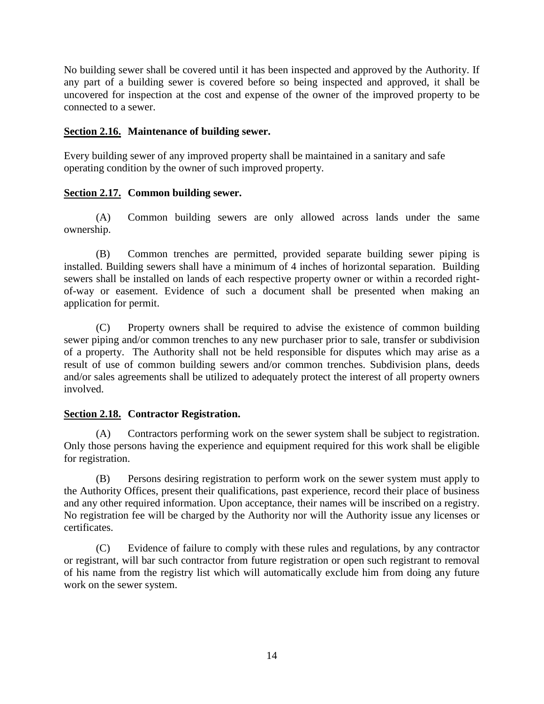No building sewer shall be covered until it has been inspected and approved by the Authority. If any part of a building sewer is covered before so being inspected and approved, it shall be uncovered for inspection at the cost and expense of the owner of the improved property to be connected to a sewer.

# **Section 2.16. Maintenance of building sewer.**

Every building sewer of any improved property shall be maintained in a sanitary and safe operating condition by the owner of such improved property.

# **Section 2.17. Common building sewer.**

(A) Common building sewers are only allowed across lands under the same ownership.

(B) Common trenches are permitted, provided separate building sewer piping is installed. Building sewers shall have a minimum of 4 inches of horizontal separation. Building sewers shall be installed on lands of each respective property owner or within a recorded rightof-way or easement. Evidence of such a document shall be presented when making an application for permit.

(C) Property owners shall be required to advise the existence of common building sewer piping and/or common trenches to any new purchaser prior to sale, transfer or subdivision of a property. The Authority shall not be held responsible for disputes which may arise as a result of use of common building sewers and/or common trenches. Subdivision plans, deeds and/or sales agreements shall be utilized to adequately protect the interest of all property owners involved.

# **Section 2.18. Contractor Registration.**

(A) Contractors performing work on the sewer system shall be subject to registration. Only those persons having the experience and equipment required for this work shall be eligible for registration.

(B) Persons desiring registration to perform work on the sewer system must apply to the Authority Offices, present their qualifications, past experience, record their place of business and any other required information. Upon acceptance, their names will be inscribed on a registry. No registration fee will be charged by the Authority nor will the Authority issue any licenses or certificates.

(C) Evidence of failure to comply with these rules and regulations, by any contractor or registrant, will bar such contractor from future registration or open such registrant to removal of his name from the registry list which will automatically exclude him from doing any future work on the sewer system.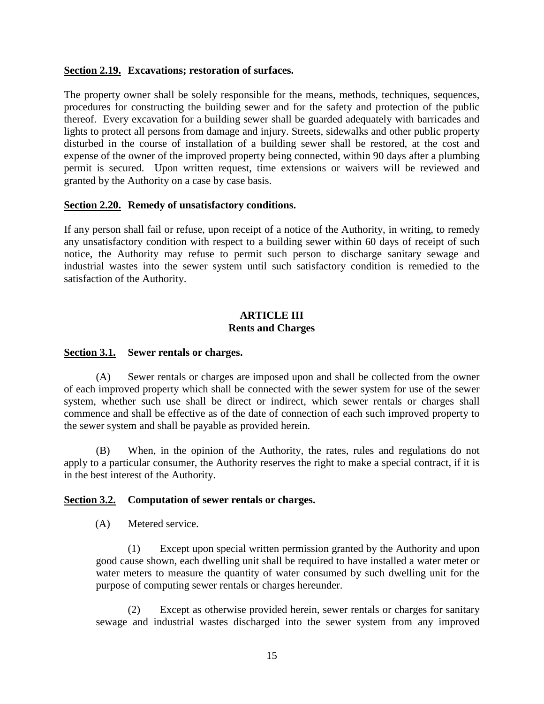#### **Section 2.19. Excavations; restoration of surfaces.**

The property owner shall be solely responsible for the means, methods, techniques, sequences, procedures for constructing the building sewer and for the safety and protection of the public thereof. Every excavation for a building sewer shall be guarded adequately with barricades and lights to protect all persons from damage and injury. Streets, sidewalks and other public property disturbed in the course of installation of a building sewer shall be restored, at the cost and expense of the owner of the improved property being connected, within 90 days after a plumbing permit is secured. Upon written request, time extensions or waivers will be reviewed and granted by the Authority on a case by case basis.

#### **Section 2.20. Remedy of unsatisfactory conditions.**

If any person shall fail or refuse, upon receipt of a notice of the Authority, in writing, to remedy any unsatisfactory condition with respect to a building sewer within 60 days of receipt of such notice, the Authority may refuse to permit such person to discharge sanitary sewage and industrial wastes into the sewer system until such satisfactory condition is remedied to the satisfaction of the Authority.

#### **ARTICLE III Rents and Charges**

#### **Section 3.1. Sewer rentals or charges.**

(A) Sewer rentals or charges are imposed upon and shall be collected from the owner of each improved property which shall be connected with the sewer system for use of the sewer system, whether such use shall be direct or indirect, which sewer rentals or charges shall commence and shall be effective as of the date of connection of each such improved property to the sewer system and shall be payable as provided herein.

(B) When, in the opinion of the Authority, the rates, rules and regulations do not apply to a particular consumer, the Authority reserves the right to make a special contract, if it is in the best interest of the Authority.

#### **Section 3.2. Computation of sewer rentals or charges.**

(A) Metered service.

(1) Except upon special written permission granted by the Authority and upon good cause shown, each dwelling unit shall be required to have installed a water meter or water meters to measure the quantity of water consumed by such dwelling unit for the purpose of computing sewer rentals or charges hereunder.

(2) Except as otherwise provided herein, sewer rentals or charges for sanitary sewage and industrial wastes discharged into the sewer system from any improved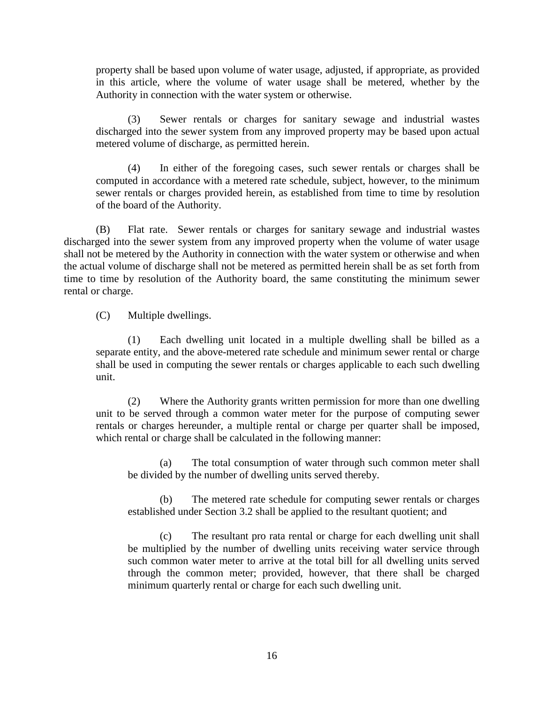property shall be based upon volume of water usage, adjusted, if appropriate, as provided in this article, where the volume of water usage shall be metered, whether by the Authority in connection with the water system or otherwise.

(3) Sewer rentals or charges for sanitary sewage and industrial wastes discharged into the sewer system from any improved property may be based upon actual metered volume of discharge, as permitted herein.

(4) In either of the foregoing cases, such sewer rentals or charges shall be computed in accordance with a metered rate schedule, subject, however, to the minimum sewer rentals or charges provided herein, as established from time to time by resolution of the board of the Authority.

(B) Flat rate. Sewer rentals or charges for sanitary sewage and industrial wastes discharged into the sewer system from any improved property when the volume of water usage shall not be metered by the Authority in connection with the water system or otherwise and when the actual volume of discharge shall not be metered as permitted herein shall be as set forth from time to time by resolution of the Authority board, the same constituting the minimum sewer rental or charge.

(C) Multiple dwellings.

(1) Each dwelling unit located in a multiple dwelling shall be billed as a separate entity, and the above-metered rate schedule and minimum sewer rental or charge shall be used in computing the sewer rentals or charges applicable to each such dwelling unit.

(2) Where the Authority grants written permission for more than one dwelling unit to be served through a common water meter for the purpose of computing sewer rentals or charges hereunder, a multiple rental or charge per quarter shall be imposed, which rental or charge shall be calculated in the following manner:

(a) The total consumption of water through such common meter shall be divided by the number of dwelling units served thereby.

(b) The metered rate schedule for computing sewer rentals or charges established under Section 3.2 shall be applied to the resultant quotient; and

(c) The resultant pro rata rental or charge for each dwelling unit shall be multiplied by the number of dwelling units receiving water service through such common water meter to arrive at the total bill for all dwelling units served through the common meter; provided, however, that there shall be charged minimum quarterly rental or charge for each such dwelling unit.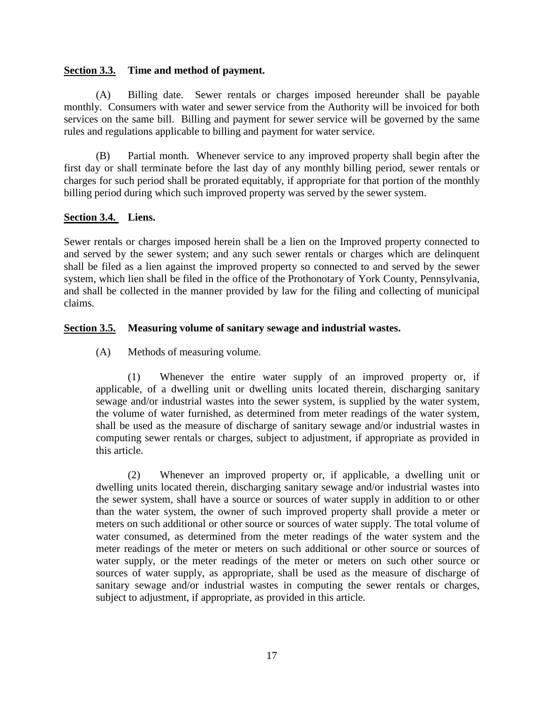# **Section 3.3. Time and method of payment.**

(A) Billing date. Sewer rentals or charges imposed hereunder shall be payable monthly. Consumers with water and sewer service from the Authority will be invoiced for both services on the same bill. Billing and payment for sewer service will be governed by the same rules and regulations applicable to billing and payment for water service.

(B) Partial month. Whenever service to any improved property shall begin after the first day or shall terminate before the last day of any monthly billing period, sewer rentals or charges for such period shall be prorated equitably, if appropriate for that portion of the monthly billing period during which such improved property was served by the sewer system.

# **Section 3.4. Liens.**

Sewer rentals or charges imposed herein shall be a lien on the Improved property connected to and served by the sewer system; and any such sewer rentals or charges which are delinquent shall be filed as a lien against the improved property so connected to and served by the sewer system, which lien shall be filed in the office of the Prothonotary of York County, Pennsylvania, and shall be collected in the manner provided by law for the filing and collecting of municipal claims.

# **Section 3.5. Measuring volume of sanitary sewage and industrial wastes.**

(A) Methods of measuring volume.

(1) Whenever the entire water supply of an improved property or, if applicable, of a dwelling unit or dwelling units located therein, discharging sanitary sewage and/or industrial wastes into the sewer system, is supplied by the water system, the volume of water furnished, as determined from meter readings of the water system, shall be used as the measure of discharge of sanitary sewage and/or industrial wastes in computing sewer rentals or charges, subject to adjustment, if appropriate as provided in this article.

(2) Whenever an improved property or, if applicable, a dwelling unit or dwelling units located therein, discharging sanitary sewage and/or industrial wastes into the sewer system, shall have a source or sources of water supply in addition to or other than the water system, the owner of such improved property shall provide a meter or meters on such additional or other source or sources of water supply. The total volume of water consumed, as determined from the meter readings of the water system and the meter readings of the meter or meters on such additional or other source or sources of water supply, or the meter readings of the meter or meters on such other source or sources of water supply, as appropriate, shall be used as the measure of discharge of sanitary sewage and/or industrial wastes in computing the sewer rentals or charges, subject to adjustment, if appropriate, as provided in this article.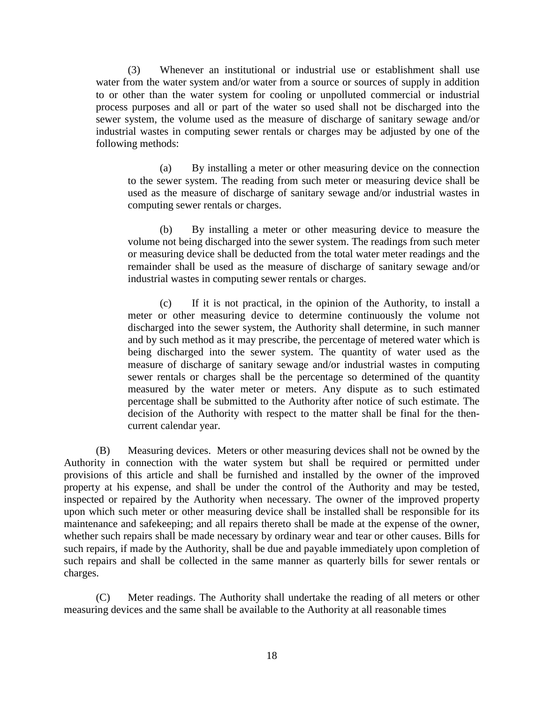(3) Whenever an institutional or industrial use or establishment shall use water from the water system and/or water from a source or sources of supply in addition to or other than the water system for cooling or unpolluted commercial or industrial process purposes and all or part of the water so used shall not be discharged into the sewer system, the volume used as the measure of discharge of sanitary sewage and/or industrial wastes in computing sewer rentals or charges may be adjusted by one of the following methods:

(a) By installing a meter or other measuring device on the connection to the sewer system. The reading from such meter or measuring device shall be used as the measure of discharge of sanitary sewage and/or industrial wastes in computing sewer rentals or charges.

(b) By installing a meter or other measuring device to measure the volume not being discharged into the sewer system. The readings from such meter or measuring device shall be deducted from the total water meter readings and the remainder shall be used as the measure of discharge of sanitary sewage and/or industrial wastes in computing sewer rentals or charges.

(c) If it is not practical, in the opinion of the Authority, to install a meter or other measuring device to determine continuously the volume not discharged into the sewer system, the Authority shall determine, in such manner and by such method as it may prescribe, the percentage of metered water which is being discharged into the sewer system. The quantity of water used as the measure of discharge of sanitary sewage and/or industrial wastes in computing sewer rentals or charges shall be the percentage so determined of the quantity measured by the water meter or meters. Any dispute as to such estimated percentage shall be submitted to the Authority after notice of such estimate. The decision of the Authority with respect to the matter shall be final for the thencurrent calendar year.

(B) Measuring devices. Meters or other measuring devices shall not be owned by the Authority in connection with the water system but shall be required or permitted under provisions of this article and shall be furnished and installed by the owner of the improved property at his expense, and shall be under the control of the Authority and may be tested, inspected or repaired by the Authority when necessary. The owner of the improved property upon which such meter or other measuring device shall be installed shall be responsible for its maintenance and safekeeping; and all repairs thereto shall be made at the expense of the owner, whether such repairs shall be made necessary by ordinary wear and tear or other causes. Bills for such repairs, if made by the Authority, shall be due and payable immediately upon completion of such repairs and shall be collected in the same manner as quarterly bills for sewer rentals or charges.

(C) Meter readings. The Authority shall undertake the reading of all meters or other measuring devices and the same shall be available to the Authority at all reasonable times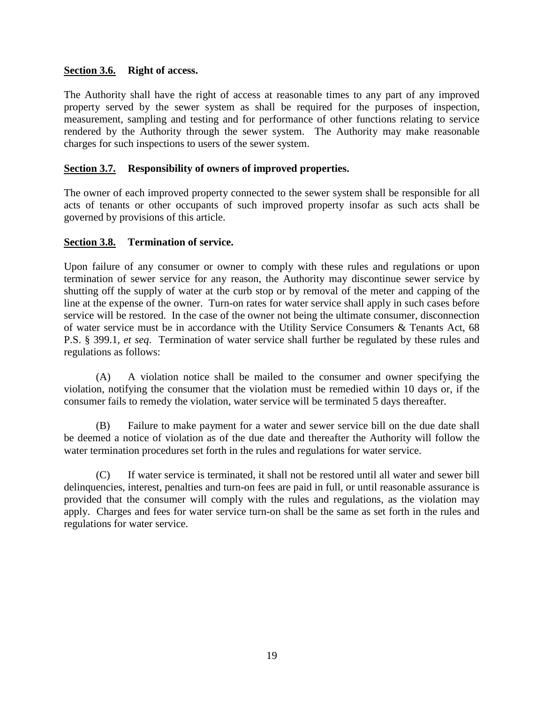# **Section 3.6. Right of access.**

The Authority shall have the right of access at reasonable times to any part of any improved property served by the sewer system as shall be required for the purposes of inspection, measurement, sampling and testing and for performance of other functions relating to service rendered by the Authority through the sewer system. The Authority may make reasonable charges for such inspections to users of the sewer system.

# **Section 3.7. Responsibility of owners of improved properties.**

The owner of each improved property connected to the sewer system shall be responsible for all acts of tenants or other occupants of such improved property insofar as such acts shall be governed by provisions of this article.

# **Section 3.8. Termination of service.**

Upon failure of any consumer or owner to comply with these rules and regulations or upon termination of sewer service for any reason, the Authority may discontinue sewer service by shutting off the supply of water at the curb stop or by removal of the meter and capping of the line at the expense of the owner. Turn-on rates for water service shall apply in such cases before service will be restored. In the case of the owner not being the ultimate consumer, disconnection of water service must be in accordance with the Utility Service Consumers & Tenants Act, 68 P.S. § 399.1, *et seq*. Termination of water service shall further be regulated by these rules and regulations as follows:

(A) A violation notice shall be mailed to the consumer and owner specifying the violation, notifying the consumer that the violation must be remedied within 10 days or, if the consumer fails to remedy the violation, water service will be terminated 5 days thereafter.

(B) Failure to make payment for a water and sewer service bill on the due date shall be deemed a notice of violation as of the due date and thereafter the Authority will follow the water termination procedures set forth in the rules and regulations for water service.

(C) If water service is terminated, it shall not be restored until all water and sewer bill delinquencies, interest, penalties and turn-on fees are paid in full, or until reasonable assurance is provided that the consumer will comply with the rules and regulations, as the violation may apply. Charges and fees for water service turn-on shall be the same as set forth in the rules and regulations for water service.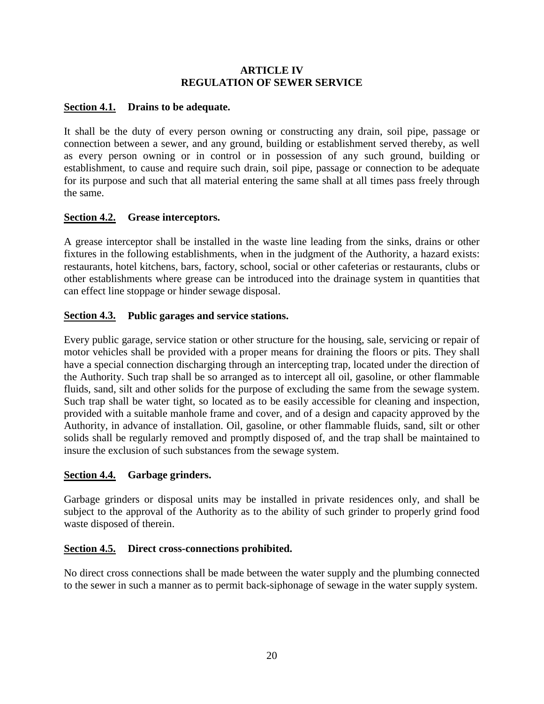# **ARTICLE IV REGULATION OF SEWER SERVICE**

# **Section 4.1. Drains to be adequate.**

It shall be the duty of every person owning or constructing any drain, soil pipe, passage or connection between a sewer, and any ground, building or establishment served thereby, as well as every person owning or in control or in possession of any such ground, building or establishment, to cause and require such drain, soil pipe, passage or connection to be adequate for its purpose and such that all material entering the same shall at all times pass freely through the same.

# **Section 4.2. Grease interceptors.**

A grease interceptor shall be installed in the waste line leading from the sinks, drains or other fixtures in the following establishments, when in the judgment of the Authority, a hazard exists: restaurants, hotel kitchens, bars, factory, school, social or other cafeterias or restaurants, clubs or other establishments where grease can be introduced into the drainage system in quantities that can effect line stoppage or hinder sewage disposal.

# **Section 4.3. Public garages and service stations.**

Every public garage, service station or other structure for the housing, sale, servicing or repair of motor vehicles shall be provided with a proper means for draining the floors or pits. They shall have a special connection discharging through an intercepting trap, located under the direction of the Authority. Such trap shall be so arranged as to intercept all oil, gasoline, or other flammable fluids, sand, silt and other solids for the purpose of excluding the same from the sewage system. Such trap shall be water tight, so located as to be easily accessible for cleaning and inspection, provided with a suitable manhole frame and cover, and of a design and capacity approved by the Authority, in advance of installation. Oil, gasoline, or other flammable fluids, sand, silt or other solids shall be regularly removed and promptly disposed of, and the trap shall be maintained to insure the exclusion of such substances from the sewage system.

#### **Section 4.4. Garbage grinders.**

Garbage grinders or disposal units may be installed in private residences only, and shall be subject to the approval of the Authority as to the ability of such grinder to properly grind food waste disposed of therein.

#### **Section 4.5. Direct cross-connections prohibited.**

No direct cross connections shall be made between the water supply and the plumbing connected to the sewer in such a manner as to permit back-siphonage of sewage in the water supply system.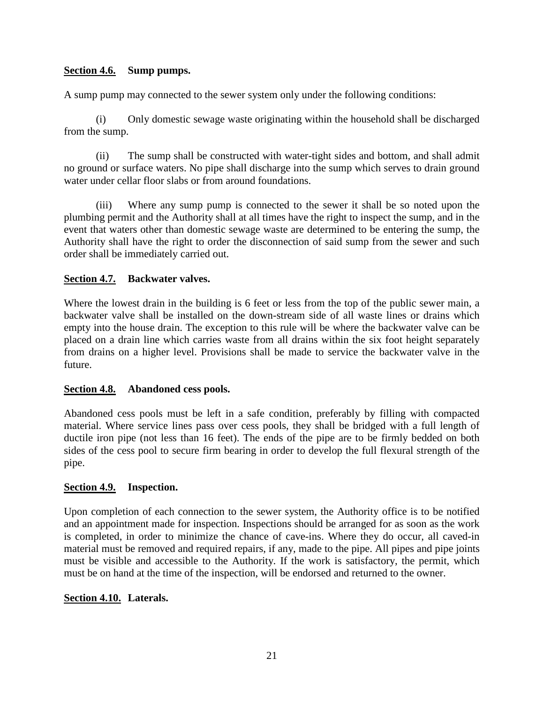# **Section 4.6. Sump pumps.**

A sump pump may connected to the sewer system only under the following conditions:

(i) Only domestic sewage waste originating within the household shall be discharged from the sump.

(ii) The sump shall be constructed with water-tight sides and bottom, and shall admit no ground or surface waters. No pipe shall discharge into the sump which serves to drain ground water under cellar floor slabs or from around foundations.

(iii) Where any sump pump is connected to the sewer it shall be so noted upon the plumbing permit and the Authority shall at all times have the right to inspect the sump, and in the event that waters other than domestic sewage waste are determined to be entering the sump, the Authority shall have the right to order the disconnection of said sump from the sewer and such order shall be immediately carried out.

# **Section 4.7. Backwater valves.**

Where the lowest drain in the building is 6 feet or less from the top of the public sewer main, a backwater valve shall be installed on the down-stream side of all waste lines or drains which empty into the house drain. The exception to this rule will be where the backwater valve can be placed on a drain line which carries waste from all drains within the six foot height separately from drains on a higher level. Provisions shall be made to service the backwater valve in the future.

#### **Section 4.8. Abandoned cess pools.**

Abandoned cess pools must be left in a safe condition, preferably by filling with compacted material. Where service lines pass over cess pools, they shall be bridged with a full length of ductile iron pipe (not less than 16 feet). The ends of the pipe are to be firmly bedded on both sides of the cess pool to secure firm bearing in order to develop the full flexural strength of the pipe.

#### **Section 4.9. Inspection.**

Upon completion of each connection to the sewer system, the Authority office is to be notified and an appointment made for inspection. Inspections should be arranged for as soon as the work is completed, in order to minimize the chance of cave-ins. Where they do occur, all caved-in material must be removed and required repairs, if any, made to the pipe. All pipes and pipe joints must be visible and accessible to the Authority. If the work is satisfactory, the permit, which must be on hand at the time of the inspection, will be endorsed and returned to the owner.

#### **Section 4.10. Laterals.**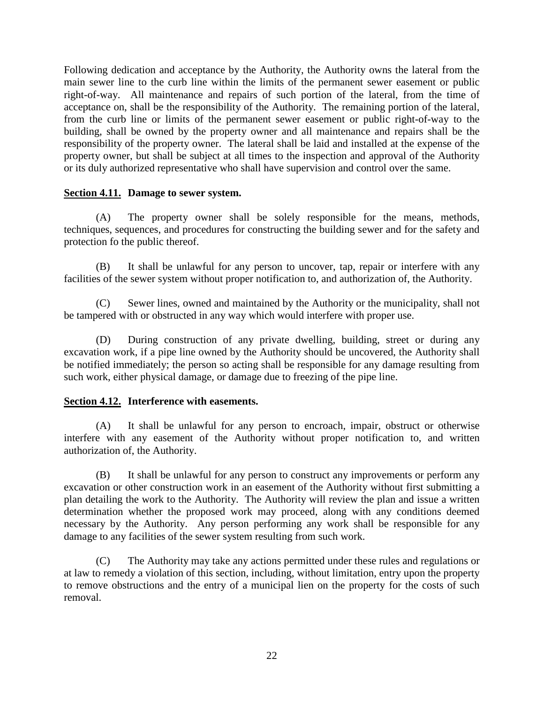Following dedication and acceptance by the Authority, the Authority owns the lateral from the main sewer line to the curb line within the limits of the permanent sewer easement or public right-of-way. All maintenance and repairs of such portion of the lateral, from the time of acceptance on, shall be the responsibility of the Authority. The remaining portion of the lateral, from the curb line or limits of the permanent sewer easement or public right-of-way to the building, shall be owned by the property owner and all maintenance and repairs shall be the responsibility of the property owner. The lateral shall be laid and installed at the expense of the property owner, but shall be subject at all times to the inspection and approval of the Authority or its duly authorized representative who shall have supervision and control over the same.

# **Section 4.11. Damage to sewer system.**

(A) The property owner shall be solely responsible for the means, methods, techniques, sequences, and procedures for constructing the building sewer and for the safety and protection fo the public thereof.

(B) It shall be unlawful for any person to uncover, tap, repair or interfere with any facilities of the sewer system without proper notification to, and authorization of, the Authority.

(C) Sewer lines, owned and maintained by the Authority or the municipality, shall not be tampered with or obstructed in any way which would interfere with proper use.

(D) During construction of any private dwelling, building, street or during any excavation work, if a pipe line owned by the Authority should be uncovered, the Authority shall be notified immediately; the person so acting shall be responsible for any damage resulting from such work, either physical damage, or damage due to freezing of the pipe line.

#### **Section 4.12. Interference with easements.**

(A) It shall be unlawful for any person to encroach, impair, obstruct or otherwise interfere with any easement of the Authority without proper notification to, and written authorization of, the Authority.

(B) It shall be unlawful for any person to construct any improvements or perform any excavation or other construction work in an easement of the Authority without first submitting a plan detailing the work to the Authority. The Authority will review the plan and issue a written determination whether the proposed work may proceed, along with any conditions deemed necessary by the Authority. Any person performing any work shall be responsible for any damage to any facilities of the sewer system resulting from such work.

(C) The Authority may take any actions permitted under these rules and regulations or at law to remedy a violation of this section, including, without limitation, entry upon the property to remove obstructions and the entry of a municipal lien on the property for the costs of such removal.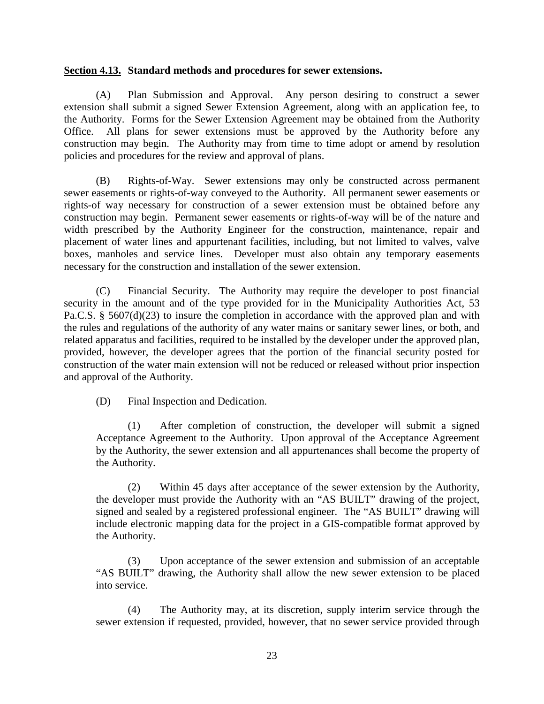#### **Section 4.13. Standard methods and procedures for sewer extensions.**

(A) Plan Submission and Approval. Any person desiring to construct a sewer extension shall submit a signed Sewer Extension Agreement, along with an application fee, to the Authority. Forms for the Sewer Extension Agreement may be obtained from the Authority Office. All plans for sewer extensions must be approved by the Authority before any construction may begin. The Authority may from time to time adopt or amend by resolution policies and procedures for the review and approval of plans.

(B) Rights-of-Way. Sewer extensions may only be constructed across permanent sewer easements or rights-of-way conveyed to the Authority. All permanent sewer easements or rights-of way necessary for construction of a sewer extension must be obtained before any construction may begin. Permanent sewer easements or rights-of-way will be of the nature and width prescribed by the Authority Engineer for the construction, maintenance, repair and placement of water lines and appurtenant facilities, including, but not limited to valves, valve boxes, manholes and service lines. Developer must also obtain any temporary easements necessary for the construction and installation of the sewer extension.

(C) Financial Security. The Authority may require the developer to post financial security in the amount and of the type provided for in the Municipality Authorities Act, 53 Pa.C.S. § 5607(d)(23) to insure the completion in accordance with the approved plan and with the rules and regulations of the authority of any water mains or sanitary sewer lines, or both, and related apparatus and facilities, required to be installed by the developer under the approved plan, provided, however, the developer agrees that the portion of the financial security posted for construction of the water main extension will not be reduced or released without prior inspection and approval of the Authority.

(D) Final Inspection and Dedication.

(1) After completion of construction, the developer will submit a signed Acceptance Agreement to the Authority. Upon approval of the Acceptance Agreement by the Authority, the sewer extension and all appurtenances shall become the property of the Authority.

(2) Within 45 days after acceptance of the sewer extension by the Authority, the developer must provide the Authority with an "AS BUILT" drawing of the project, signed and sealed by a registered professional engineer. The "AS BUILT" drawing will include electronic mapping data for the project in a GIS-compatible format approved by the Authority.

(3) Upon acceptance of the sewer extension and submission of an acceptable "AS BUILT" drawing, the Authority shall allow the new sewer extension to be placed into service.

(4) The Authority may, at its discretion, supply interim service through the sewer extension if requested, provided, however, that no sewer service provided through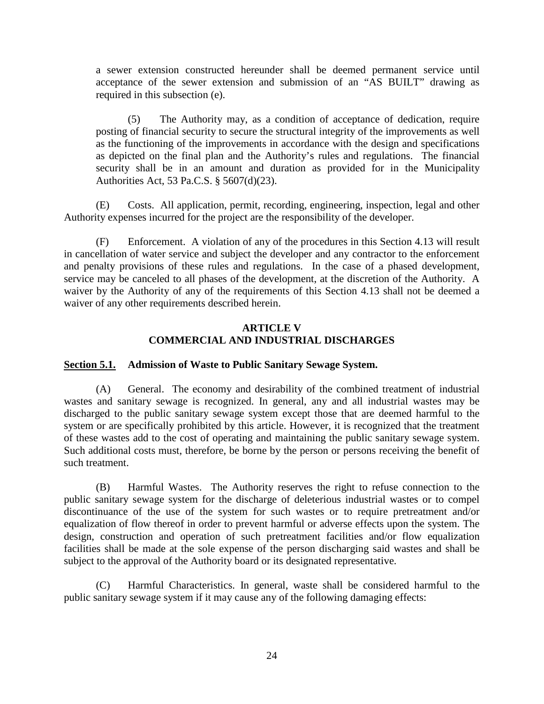a sewer extension constructed hereunder shall be deemed permanent service until acceptance of the sewer extension and submission of an "AS BUILT" drawing as required in this subsection (e).

(5) The Authority may, as a condition of acceptance of dedication, require posting of financial security to secure the structural integrity of the improvements as well as the functioning of the improvements in accordance with the design and specifications as depicted on the final plan and the Authority's rules and regulations. The financial security shall be in an amount and duration as provided for in the Municipality Authorities Act, 53 Pa.C.S. § 5607(d)(23).

(E) Costs. All application, permit, recording, engineering, inspection, legal and other Authority expenses incurred for the project are the responsibility of the developer.

(F) Enforcement. A violation of any of the procedures in this Section 4.13 will result in cancellation of water service and subject the developer and any contractor to the enforcement and penalty provisions of these rules and regulations. In the case of a phased development, service may be canceled to all phases of the development, at the discretion of the Authority. A waiver by the Authority of any of the requirements of this Section 4.13 shall not be deemed a waiver of any other requirements described herein.

# **ARTICLE V COMMERCIAL AND INDUSTRIAL DISCHARGES**

# **Section 5.1. Admission of Waste to Public Sanitary Sewage System.**

(A) General. The economy and desirability of the combined treatment of industrial wastes and sanitary sewage is recognized. In general, any and all industrial wastes may be discharged to the public sanitary sewage system except those that are deemed harmful to the system or are specifically prohibited by this article. However, it is recognized that the treatment of these wastes add to the cost of operating and maintaining the public sanitary sewage system. Such additional costs must, therefore, be borne by the person or persons receiving the benefit of such treatment.

(B) Harmful Wastes. The Authority reserves the right to refuse connection to the public sanitary sewage system for the discharge of deleterious industrial wastes or to compel discontinuance of the use of the system for such wastes or to require pretreatment and/or equalization of flow thereof in order to prevent harmful or adverse effects upon the system. The design, construction and operation of such pretreatment facilities and/or flow equalization facilities shall be made at the sole expense of the person discharging said wastes and shall be subject to the approval of the Authority board or its designated representative.

(C) Harmful Characteristics. In general, waste shall be considered harmful to the public sanitary sewage system if it may cause any of the following damaging effects: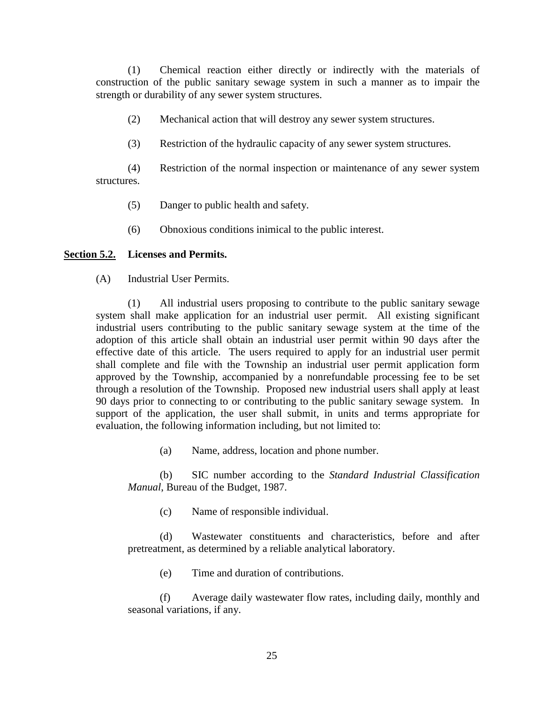(1) Chemical reaction either directly or indirectly with the materials of construction of the public sanitary sewage system in such a manner as to impair the strength or durability of any sewer system structures.

(2) Mechanical action that will destroy any sewer system structures.

(3) Restriction of the hydraulic capacity of any sewer system structures.

(4) Restriction of the normal inspection or maintenance of any sewer system structures.

- (5) Danger to public health and safety.
- (6) Obnoxious conditions inimical to the public interest.

#### **Section 5.2. Licenses and Permits.**

(A) Industrial User Permits.

(1) All industrial users proposing to contribute to the public sanitary sewage system shall make application for an industrial user permit. All existing significant industrial users contributing to the public sanitary sewage system at the time of the adoption of this article shall obtain an industrial user permit within 90 days after the effective date of this article. The users required to apply for an industrial user permit shall complete and file with the Township an industrial user permit application form approved by the Township, accompanied by a nonrefundable processing fee to be set through a resolution of the Township. Proposed new industrial users shall apply at least 90 days prior to connecting to or contributing to the public sanitary sewage system. In support of the application, the user shall submit, in units and terms appropriate for evaluation, the following information including, but not limited to:

(a) Name, address, location and phone number.

(b) SIC number according to the *Standard Industrial Classification Manual*, Bureau of the Budget, 1987.

(c) Name of responsible individual.

(d) Wastewater constituents and characteristics, before and after pretreatment, as determined by a reliable analytical laboratory.

(e) Time and duration of contributions.

(f) Average daily wastewater flow rates, including daily, monthly and seasonal variations, if any.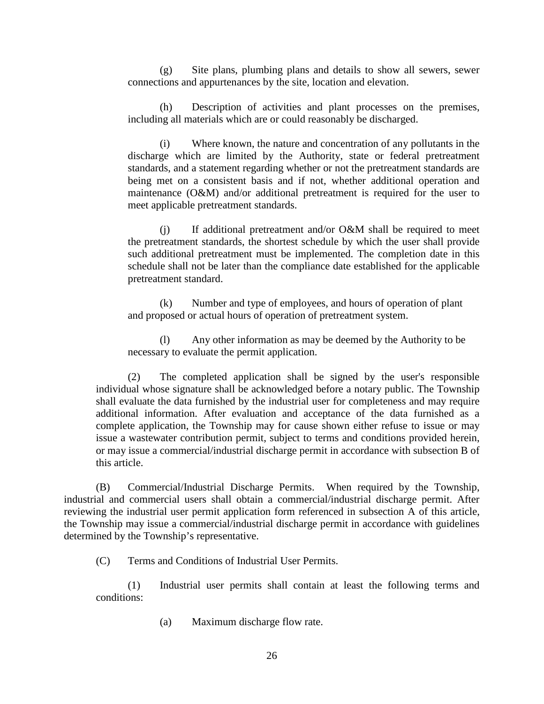(g) Site plans, plumbing plans and details to show all sewers, sewer connections and appurtenances by the site, location and elevation.

(h) Description of activities and plant processes on the premises, including all materials which are or could reasonably be discharged.

(i) Where known, the nature and concentration of any pollutants in the discharge which are limited by the Authority, state or federal pretreatment standards, and a statement regarding whether or not the pretreatment standards are being met on a consistent basis and if not, whether additional operation and maintenance (O&M) and/or additional pretreatment is required for the user to meet applicable pretreatment standards.

(j) If additional pretreatment and/or O&M shall be required to meet the pretreatment standards, the shortest schedule by which the user shall provide such additional pretreatment must be implemented. The completion date in this schedule shall not be later than the compliance date established for the applicable pretreatment standard.

(k) Number and type of employees, and hours of operation of plant and proposed or actual hours of operation of pretreatment system.

(l) Any other information as may be deemed by the Authority to be necessary to evaluate the permit application.

(2) The completed application shall be signed by the user's responsible individual whose signature shall be acknowledged before a notary public. The Township shall evaluate the data furnished by the industrial user for completeness and may require additional information. After evaluation and acceptance of the data furnished as a complete application, the Township may for cause shown either refuse to issue or may issue a wastewater contribution permit, subject to terms and conditions provided herein, or may issue a commercial/industrial discharge permit in accordance with subsection B of this article.

(B) Commercial/Industrial Discharge Permits. When required by the Township, industrial and commercial users shall obtain a commercial/industrial discharge permit. After reviewing the industrial user permit application form referenced in subsection A of this article, the Township may issue a commercial/industrial discharge permit in accordance with guidelines determined by the Township's representative.

(C) Terms and Conditions of Industrial User Permits.

(1) Industrial user permits shall contain at least the following terms and conditions:

(a) Maximum discharge flow rate.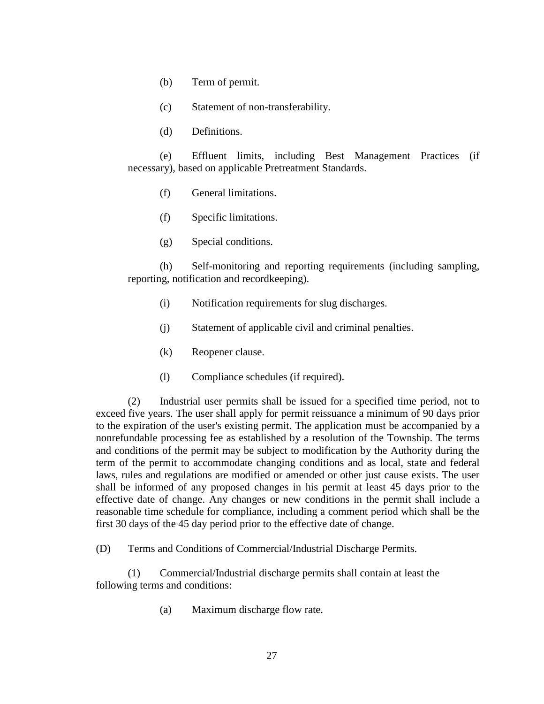(b) Term of permit.

(c) Statement of non-transferability.

(d) Definitions.

(e) Effluent limits, including Best Management Practices (if necessary), based on applicable Pretreatment Standards.

- (f) General limitations.
- (f) Specific limitations.
- (g) Special conditions.

(h) Self-monitoring and reporting requirements (including sampling, reporting, notification and recordkeeping).

- (i) Notification requirements for slug discharges.
- (j) Statement of applicable civil and criminal penalties.
- (k) Reopener clause.
- (l) Compliance schedules (if required).

(2) Industrial user permits shall be issued for a specified time period, not to exceed five years. The user shall apply for permit reissuance a minimum of 90 days prior to the expiration of the user's existing permit. The application must be accompanied by a nonrefundable processing fee as established by a resolution of the Township. The terms and conditions of the permit may be subject to modification by the Authority during the term of the permit to accommodate changing conditions and as local, state and federal laws, rules and regulations are modified or amended or other just cause exists. The user shall be informed of any proposed changes in his permit at least 45 days prior to the effective date of change. Any changes or new conditions in the permit shall include a reasonable time schedule for compliance, including a comment period which shall be the first 30 days of the 45 day period prior to the effective date of change.

(D) Terms and Conditions of Commercial/Industrial Discharge Permits.

(1) Commercial/Industrial discharge permits shall contain at least the following terms and conditions:

(a) Maximum discharge flow rate.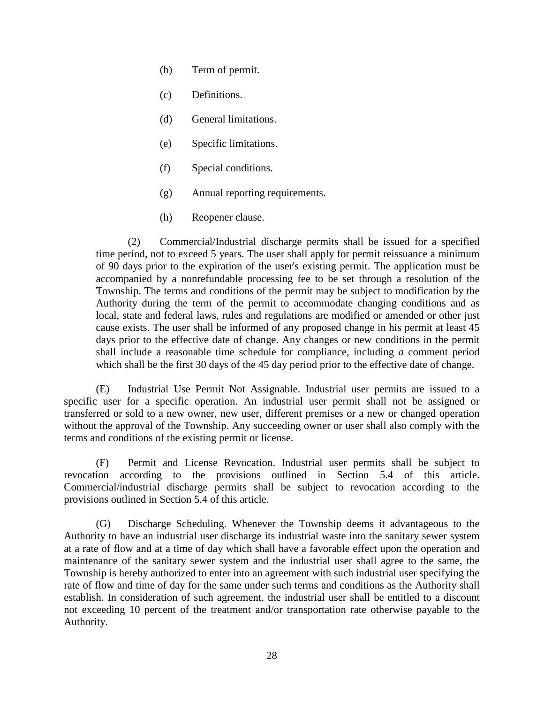- (b) Term of permit.
- (c) Definitions.
- (d) General limitations.
- (e) Specific limitations.
- (f) Special conditions.
- (g) Annual reporting requirements.
- (h) Reopener clause.

(2) Commercial/Industrial discharge permits shall be issued for a specified time period, not to exceed 5 years. The user shall apply for permit reissuance a minimum of 90 days prior to the expiration of the user's existing permit. The application must be accompanied by a nonrefundable processing fee to be set through a resolution of the Township. The terms and conditions of the permit may be subject to modification by the Authority during the term of the permit to accommodate changing conditions and as local, state and federal laws, rules and regulations are modified or amended or other just cause exists. The user shall be informed of any proposed change in his permit at least 45 days prior to the effective date of change. Any changes or new conditions in the permit shall include a reasonable time schedule for compliance, including *a* comment period which shall be the first 30 days of the 45 day period prior to the effective date of change.

(E) Industrial Use Permit Not Assignable. Industrial user permits are issued to a specific user for a specific operation. An industrial user permit shall not be assigned or transferred or sold to a new owner, new user, different premises or a new or changed operation without the approval of the Township. Any succeeding owner or user shall also comply with the terms and conditions of the existing permit or license.

(F) Permit and License Revocation. Industrial user permits shall be subject to revocation according to the provisions outlined in Section 5.4 of this article. Commercial/industrial discharge permits shall be subject to revocation according to the provisions outlined in Section 5.4 of this article.

(G) Discharge Scheduling. Whenever the Township deems it advantageous to the Authority to have an industrial user discharge its industrial waste into the sanitary sewer system at a rate of flow and at a time of day which shall have a favorable effect upon the operation and maintenance of the sanitary sewer system and the industrial user shall agree to the same, the Township is hereby authorized to enter into an agreement with such industrial user specifying the rate of flow and time of day for the same under such terms and conditions as the Authority shall establish. In consideration of such agreement, the industrial user shall be entitled to a discount not exceeding 10 percent of the treatment and/or transportation rate otherwise payable to the Authority.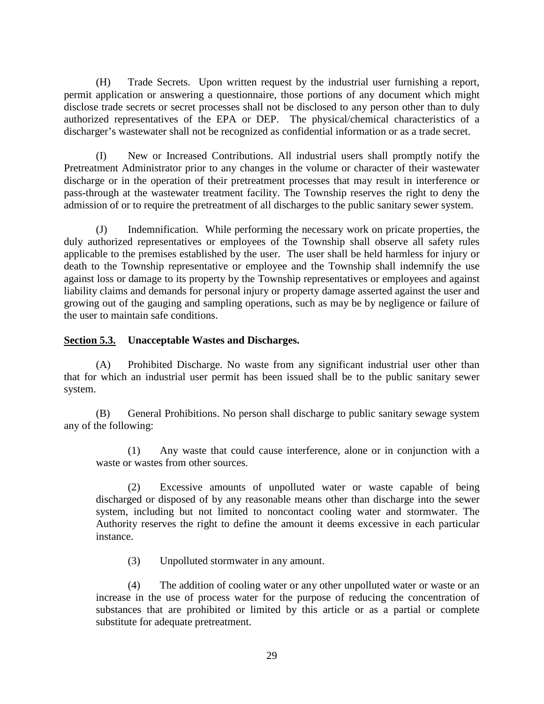(H) Trade Secrets. Upon written request by the industrial user furnishing a report, permit application or answering a questionnaire, those portions of any document which might disclose trade secrets or secret processes shall not be disclosed to any person other than to duly authorized representatives of the EPA or DEP. The physical/chemical characteristics of a discharger's wastewater shall not be recognized as confidential information or as a trade secret.

(I) New or Increased Contributions. All industrial users shall promptly notify the Pretreatment Administrator prior to any changes in the volume or character of their wastewater discharge or in the operation of their pretreatment processes that may result in interference or pass-through at the wastewater treatment facility. The Township reserves the right to deny the admission of or to require the pretreatment of all discharges to the public sanitary sewer system.

(J) Indemnification. While performing the necessary work on pricate properties, the duly authorized representatives or employees of the Township shall observe all safety rules applicable to the premises established by the user. The user shall be held harmless for injury or death to the Township representative or employee and the Township shall indemnify the use against loss or damage to its property by the Township representatives or employees and against liability claims and demands for personal injury or property damage asserted against the user and growing out of the gauging and sampling operations, such as may be by negligence or failure of the user to maintain safe conditions.

# **Section 5.3. Unacceptable Wastes and Discharges.**

(A) Prohibited Discharge. No waste from any significant industrial user other than that for which an industrial user permit has been issued shall be to the public sanitary sewer system.

(B) General Prohibitions. No person shall discharge to public sanitary sewage system any of the following:

(1) Any waste that could cause interference, alone or in conjunction with a waste or wastes from other sources.

(2) Excessive amounts of unpolluted water or waste capable of being discharged or disposed of by any reasonable means other than discharge into the sewer system, including but not limited to noncontact cooling water and stormwater. The Authority reserves the right to define the amount it deems excessive in each particular instance.

(3) Unpolluted stormwater in any amount.

(4) The addition of cooling water or any other unpolluted water or waste or an increase in the use of process water for the purpose of reducing the concentration of substances that are prohibited or limited by this article or as a partial or complete substitute for adequate pretreatment.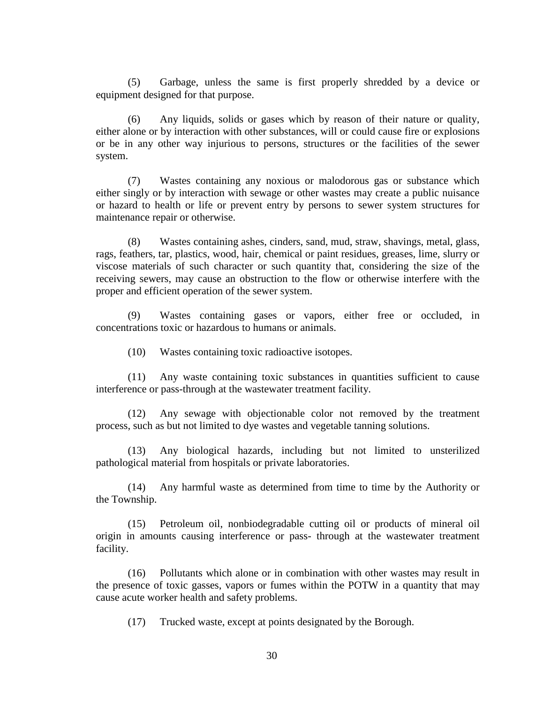(5) Garbage, unless the same is first properly shredded by a device or equipment designed for that purpose.

(6) Any liquids, solids or gases which by reason of their nature or quality, either alone or by interaction with other substances, will or could cause fire or explosions or be in any other way injurious to persons, structures or the facilities of the sewer system.

(7) Wastes containing any noxious or malodorous gas or substance which either singly or by interaction with sewage or other wastes may create a public nuisance or hazard to health or life or prevent entry by persons to sewer system structures for maintenance repair or otherwise.

(8) Wastes containing ashes, cinders, sand, mud, straw, shavings, metal, glass, rags, feathers, tar, plastics, wood, hair, chemical or paint residues, greases, lime, slurry or viscose materials of such character or such quantity that, considering the size of the receiving sewers, may cause an obstruction to the flow or otherwise interfere with the proper and efficient operation of the sewer system.

(9) Wastes containing gases or vapors, either free or occluded, in concentrations toxic or hazardous to humans or animals.

(10) Wastes containing toxic radioactive isotopes.

(11) Any waste containing toxic substances in quantities sufficient to cause interference or pass-through at the wastewater treatment facility.

(12) Any sewage with objectionable color not removed by the treatment process, such as but not limited to dye wastes and vegetable tanning solutions.

(13) Any biological hazards, including but not limited to unsterilized pathological material from hospitals or private laboratories.

(14) Any harmful waste as determined from time to time by the Authority or the Township.

(15) Petroleum oil, nonbiodegradable cutting oil or products of mineral oil origin in amounts causing interference or pass- through at the wastewater treatment facility.

(16) Pollutants which alone or in combination with other wastes may result in the presence of toxic gasses, vapors or fumes within the POTW in a quantity that may cause acute worker health and safety problems.

(17) Trucked waste, except at points designated by the Borough.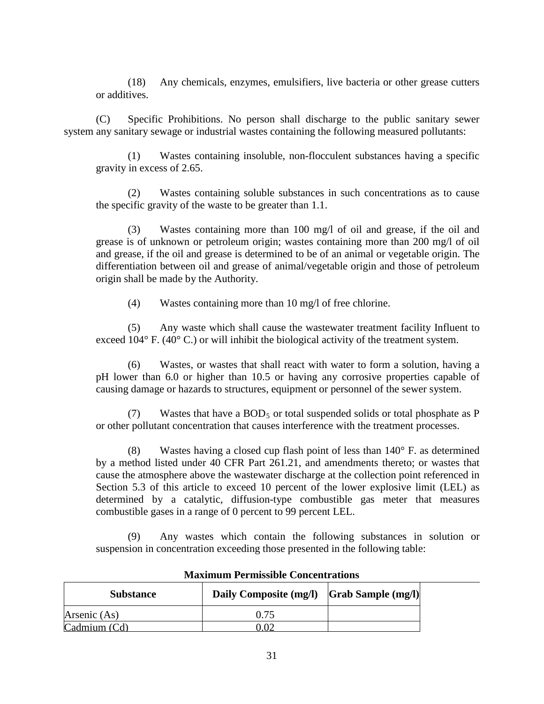(18) Any chemicals, enzymes, emulsifiers, live bacteria or other grease cutters or additives.

(C) Specific Prohibitions. No person shall discharge to the public sanitary sewer system any sanitary sewage or industrial wastes containing the following measured pollutants:

(1) Wastes containing insoluble, non-flocculent substances having a specific gravity in excess of 2.65.

(2) Wastes containing soluble substances in such concentrations as to cause the specific gravity of the waste to be greater than 1.1.

(3) Wastes containing more than 100 mg/l of oil and grease, if the oil and grease is of unknown or petroleum origin; wastes containing more than 200 mg/l of oil and grease, if the oil and grease is determined to be of an animal or vegetable origin. The differentiation between oil and grease of animal/vegetable origin and those of petroleum origin shall be made by the Authority.

(4) Wastes containing more than 10 mg/l of free chlorine.

(5) Any waste which shall cause the wastewater treatment facility Influent to exceed 104° F. (40° C.) or will inhibit the biological activity of the treatment system.

(6) Wastes, or wastes that shall react with water to form a solution, having a pH lower than 6.0 or higher than 10.5 or having any corrosive properties capable of causing damage or hazards to structures, equipment or personnel of the sewer system.

(7) Wastes that have a  $BOD_5$  or total suspended solids or total phosphate as P or other pollutant concentration that causes interference with the treatment processes.

(8) Wastes having a closed cup flash point of less than  $140^{\circ}$  F. as determined by a method listed under 40 CFR Part 261.21, and amendments thereto; or wastes that cause the atmosphere above the wastewater discharge at the collection point referenced in Section 5.3 of this article to exceed 10 percent of the lower explosive limit (LEL) as determined by a catalytic, diffusion-type combustible gas meter that measures combustible gases in a range of 0 percent to 99 percent LEL.

(9) Any wastes which contain the following substances in solution or suspension in concentration exceeding those presented in the following table:

| <b>Substance</b> | Daily Composite (mg/l)   Grab Sample (mg/l) |  |
|------------------|---------------------------------------------|--|
| Arsenic (As)     | 0.75                                        |  |
| Cadmium (Cd)     |                                             |  |

#### **Maximum Permissible Concentrations**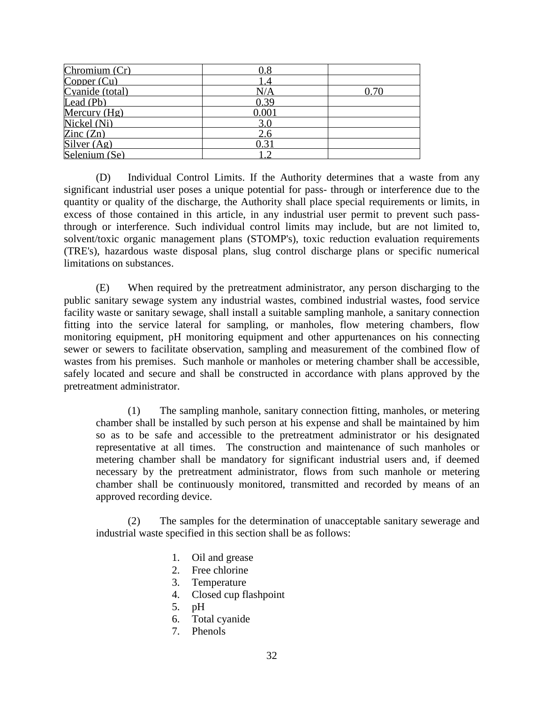| Chromium (Cr)   |          |  |
|-----------------|----------|--|
| Copper (Cu)     |          |  |
| Cyanide (total) | N/A      |  |
| Lead $(Pb)$     | 0.39     |  |
| Mercury $(Hg)$  | $0.00\,$ |  |
| Nickel (Ni)     | 3.0      |  |
| Zinc $(Zn)$     | 2.6      |  |
| Silver $(Ag)$   |          |  |
| Selenium (Se)   |          |  |

(D) Individual Control Limits. If the Authority determines that a waste from any significant industrial user poses a unique potential for pass- through or interference due to the quantity or quality of the discharge, the Authority shall place special requirements or limits, in excess of those contained in this article, in any industrial user permit to prevent such passthrough or interference. Such individual control limits may include, but are not limited to, solvent/toxic organic management plans (STOMP's), toxic reduction evaluation requirements (TRE's), hazardous waste disposal plans, slug control discharge plans or specific numerical limitations on substances.

(E) When required by the pretreatment administrator, any person discharging to the public sanitary sewage system any industrial wastes, combined industrial wastes, food service facility waste or sanitary sewage, shall install a suitable sampling manhole, a sanitary connection fitting into the service lateral for sampling, or manholes, flow metering chambers, flow monitoring equipment, pH monitoring equipment and other appurtenances on his connecting sewer or sewers to facilitate observation, sampling and measurement of the combined flow of wastes from his premises. Such manhole or manholes or metering chamber shall be accessible, safely located and secure and shall be constructed in accordance with plans approved by the pretreatment administrator.

(1) The sampling manhole, sanitary connection fitting, manholes, or metering chamber shall be installed by such person at his expense and shall be maintained by him so as to be safe and accessible to the pretreatment administrator or his designated representative at all times. The construction and maintenance of such manholes or metering chamber shall be mandatory for significant industrial users and, if deemed necessary by the pretreatment administrator, flows from such manhole or metering chamber shall be continuously monitored, transmitted and recorded by means of an approved recording device.

(2) The samples for the determination of unacceptable sanitary sewerage and industrial waste specified in this section shall be as follows:

- 1. Oil and grease
- 2. Free chlorine
- 3. Temperature
- 4. Closed cup flashpoint
- 5. pH
- 6. Total cyanide
- 7. Phenols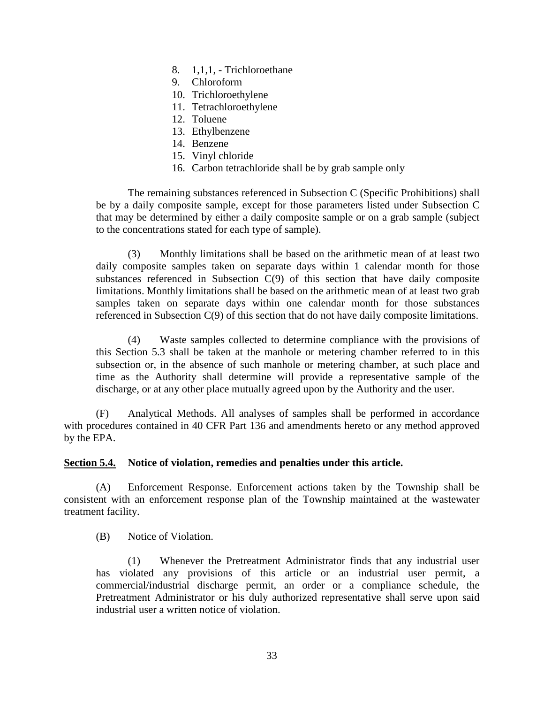- 8. 1,1,1, Trichloroethane
- 9. Chloroform
- 10. Trichloroethylene
- 11. Tetrachloroethylene
- 12. Toluene
- 13. Ethylbenzene
- 14. Benzene
- 15. Vinyl chloride
- 16. Carbon tetrachloride shall be by grab sample only

The remaining substances referenced in Subsection C (Specific Prohibitions) shall be by a daily composite sample, except for those parameters listed under Subsection C that may be determined by either a daily composite sample or on a grab sample (subject to the concentrations stated for each type of sample).

(3) Monthly limitations shall be based on the arithmetic mean of at least two daily composite samples taken on separate days within 1 calendar month for those substances referenced in Subsection C(9) of this section that have daily composite limitations. Monthly limitations shall be based on the arithmetic mean of at least two grab samples taken on separate days within one calendar month for those substances referenced in Subsection C(9) of this section that do not have daily composite limitations.

(4) Waste samples collected to determine compliance with the provisions of this Section 5.3 shall be taken at the manhole or metering chamber referred to in this subsection or, in the absence of such manhole or metering chamber, at such place and time as the Authority shall determine will provide a representative sample of the discharge, or at any other place mutually agreed upon by the Authority and the user.

(F) Analytical Methods. All analyses of samples shall be performed in accordance with procedures contained in 40 CFR Part 136 and amendments hereto or any method approved by the EPA.

#### **Section 5.4. Notice of violation, remedies and penalties under this article.**

(A) Enforcement Response. Enforcement actions taken by the Township shall be consistent with an enforcement response plan of the Township maintained at the wastewater treatment facility.

(B) Notice of Violation.

(1) Whenever the Pretreatment Administrator finds that any industrial user has violated any provisions of this article or an industrial user permit, a commercial/industrial discharge permit, an order or a compliance schedule, the Pretreatment Administrator or his duly authorized representative shall serve upon said industrial user a written notice of violation.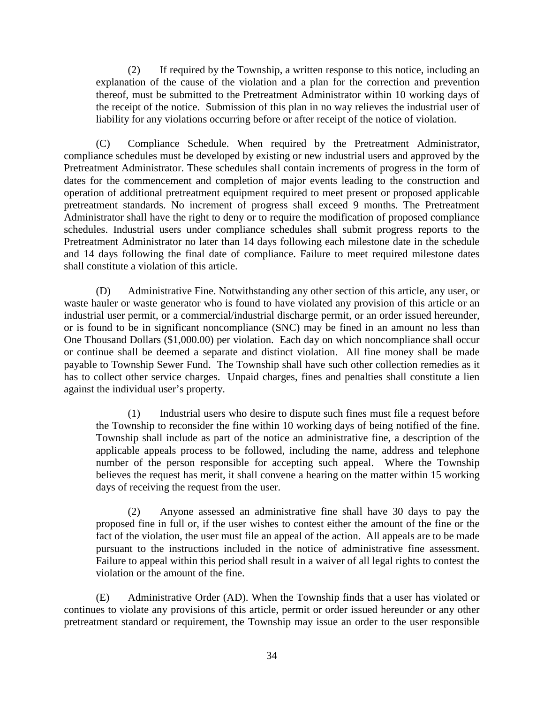(2) If required by the Township, a written response to this notice, including an explanation of the cause of the violation and a plan for the correction and prevention thereof, must be submitted to the Pretreatment Administrator within 10 working days of the receipt of the notice. Submission of this plan in no way relieves the industrial user of liability for any violations occurring before or after receipt of the notice of violation.

(C) Compliance Schedule. When required by the Pretreatment Administrator, compliance schedules must be developed by existing or new industrial users and approved by the Pretreatment Administrator. These schedules shall contain increments of progress in the form of dates for the commencement and completion of major events leading to the construction and operation of additional pretreatment equipment required to meet present or proposed applicable pretreatment standards. No increment of progress shall exceed 9 months. The Pretreatment Administrator shall have the right to deny or to require the modification of proposed compliance schedules. Industrial users under compliance schedules shall submit progress reports to the Pretreatment Administrator no later than 14 days following each milestone date in the schedule and 14 days following the final date of compliance. Failure to meet required milestone dates shall constitute a violation of this article.

(D) Administrative Fine. Notwithstanding any other section of this article, any user, or waste hauler or waste generator who is found to have violated any provision of this article or an industrial user permit, or a commercial/industrial discharge permit, or an order issued hereunder, or is found to be in significant noncompliance (SNC) may be fined in an amount no less than One Thousand Dollars (\$1,000.00) per violation. Each day on which noncompliance shall occur or continue shall be deemed a separate and distinct violation. All fine money shall be made payable to Township Sewer Fund. The Township shall have such other collection remedies as it has to collect other service charges. Unpaid charges, fines and penalties shall constitute a lien against the individual user's property.

(1) Industrial users who desire to dispute such fines must file a request before the Township to reconsider the fine within 10 working days of being notified of the fine. Township shall include as part of the notice an administrative fine, a description of the applicable appeals process to be followed, including the name, address and telephone number of the person responsible for accepting such appeal. Where the Township believes the request has merit, it shall convene a hearing on the matter within 15 working days of receiving the request from the user.

(2) Anyone assessed an administrative fine shall have 30 days to pay the proposed fine in full or, if the user wishes to contest either the amount of the fine or the fact of the violation, the user must file an appeal of the action. All appeals are to be made pursuant to the instructions included in the notice of administrative fine assessment. Failure to appeal within this period shall result in a waiver of all legal rights to contest the violation or the amount of the fine.

(E) Administrative Order (AD). When the Township finds that a user has violated or continues to violate any provisions of this article, permit or order issued hereunder or any other pretreatment standard or requirement, the Township may issue an order to the user responsible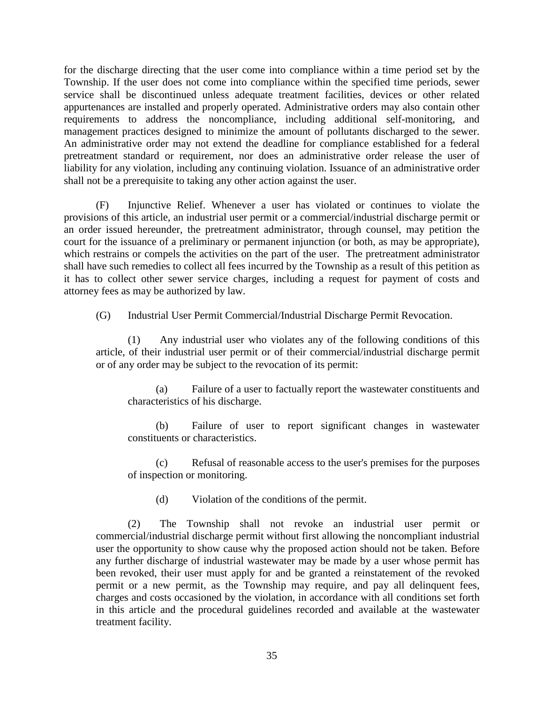for the discharge directing that the user come into compliance within a time period set by the Township. If the user does not come into compliance within the specified time periods, sewer service shall be discontinued unless adequate treatment facilities, devices or other related appurtenances are installed and properly operated. Administrative orders may also contain other requirements to address the noncompliance, including additional self-monitoring, and management practices designed to minimize the amount of pollutants discharged to the sewer. An administrative order may not extend the deadline for compliance established for a federal pretreatment standard or requirement, nor does an administrative order release the user of liability for any violation, including any continuing violation. Issuance of an administrative order shall not be a prerequisite to taking any other action against the user.

(F) Injunctive Relief. Whenever a user has violated or continues to violate the provisions of this article, an industrial user permit or a commercial/industrial discharge permit or an order issued hereunder, the pretreatment administrator, through counsel, may petition the court for the issuance of a preliminary or permanent injunction (or both, as may be appropriate), which restrains or compels the activities on the part of the user. The pretreatment administrator shall have such remedies to collect all fees incurred by the Township as a result of this petition as it has to collect other sewer service charges, including a request for payment of costs and attorney fees as may be authorized by law.

(G) Industrial User Permit Commercial/Industrial Discharge Permit Revocation.

(1) Any industrial user who violates any of the following conditions of this article, of their industrial user permit or of their commercial/industrial discharge permit or of any order may be subject to the revocation of its permit:

(a) Failure of a user to factually report the wastewater constituents and characteristics of his discharge.

(b) Failure of user to report significant changes in wastewater constituents or characteristics.

(c) Refusal of reasonable access to the user's premises for the purposes of inspection or monitoring.

(d) Violation of the conditions of the permit.

(2) The Township shall not revoke an industrial user permit or commercial/industrial discharge permit without first allowing the noncompliant industrial user the opportunity to show cause why the proposed action should not be taken. Before any further discharge of industrial wastewater may be made by a user whose permit has been revoked, their user must apply for and be granted a reinstatement of the revoked permit or a new permit, as the Township may require, and pay all delinquent fees, charges and costs occasioned by the violation, in accordance with all conditions set forth in this article and the procedural guidelines recorded and available at the wastewater treatment facility.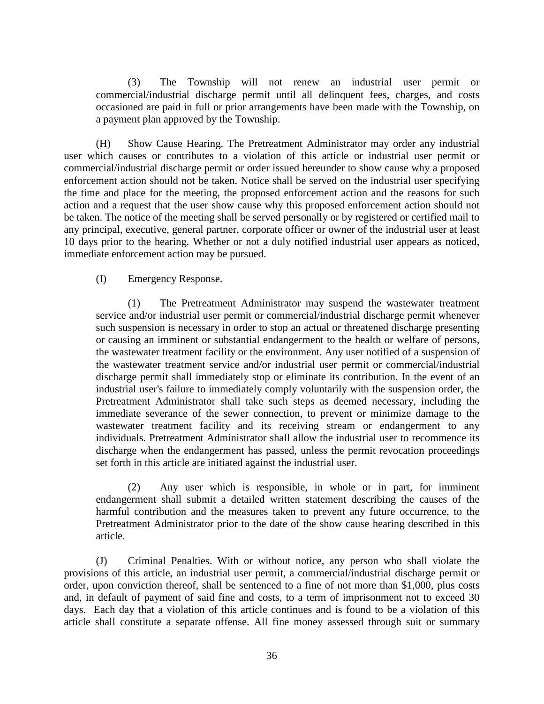(3) The Township will not renew an industrial user permit or commercial/industrial discharge permit until all delinquent fees, charges, and costs occasioned are paid in full or prior arrangements have been made with the Township, on a payment plan approved by the Township.

(H) Show Cause Hearing. The Pretreatment Administrator may order any industrial user which causes or contributes to a violation of this article or industrial user permit or commercial/industrial discharge permit or order issued hereunder to show cause why a proposed enforcement action should not be taken. Notice shall be served on the industrial user specifying the time and place for the meeting, the proposed enforcement action and the reasons for such action and a request that the user show cause why this proposed enforcement action should not be taken. The notice of the meeting shall be served personally or by registered or certified mail to any principal, executive, general partner, corporate officer or owner of the industrial user at least 10 days prior to the hearing. Whether or not a duly notified industrial user appears as noticed, immediate enforcement action may be pursued.

#### (I) Emergency Response.

(1) The Pretreatment Administrator may suspend the wastewater treatment service and/or industrial user permit or commercial/industrial discharge permit whenever such suspension is necessary in order to stop an actual or threatened discharge presenting or causing an imminent or substantial endangerment to the health or welfare of persons, the wastewater treatment facility or the environment. Any user notified of a suspension of the wastewater treatment service and/or industrial user permit or commercial/industrial discharge permit shall immediately stop or eliminate its contribution. In the event of an industrial user's failure to immediately comply voluntarily with the suspension order, the Pretreatment Administrator shall take such steps as deemed necessary, including the immediate severance of the sewer connection, to prevent or minimize damage to the wastewater treatment facility and its receiving stream or endangerment to any individuals. Pretreatment Administrator shall allow the industrial user to recommence its discharge when the endangerment has passed, unless the permit revocation proceedings set forth in this article are initiated against the industrial user.

(2) Any user which is responsible, in whole or in part, for imminent endangerment shall submit a detailed written statement describing the causes of the harmful contribution and the measures taken to prevent any future occurrence, to the Pretreatment Administrator prior to the date of the show cause hearing described in this article.

(J) Criminal Penalties. With or without notice, any person who shall violate the provisions of this article, an industrial user permit, a commercial/industrial discharge permit or order, upon conviction thereof, shall be sentenced to a fine of not more than \$1,000, plus costs and, in default of payment of said fine and costs, to a term of imprisonment not to exceed 30 days. Each day that a violation of this article continues and is found to be a violation of this article shall constitute a separate offense. All fine money assessed through suit or summary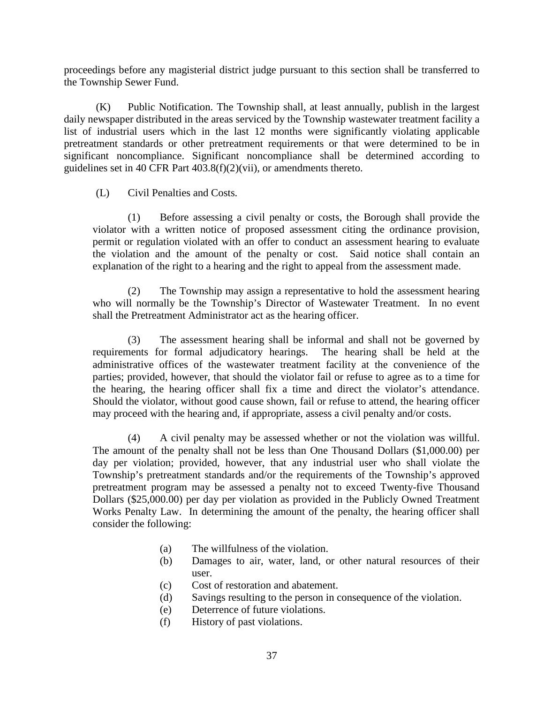proceedings before any magisterial district judge pursuant to this section shall be transferred to the Township Sewer Fund.

(K) Public Notification. The Township shall, at least annually, publish in the largest daily newspaper distributed in the areas serviced by the Township wastewater treatment facility a list of industrial users which in the last 12 months were significantly violating applicable pretreatment standards or other pretreatment requirements or that were determined to be in significant noncompliance. Significant noncompliance shall be determined according to guidelines set in 40 CFR Part 403.8(f)(2)(vii), or amendments thereto.

#### (L) Civil Penalties and Costs.

(1) Before assessing a civil penalty or costs, the Borough shall provide the violator with a written notice of proposed assessment citing the ordinance provision, permit or regulation violated with an offer to conduct an assessment hearing to evaluate the violation and the amount of the penalty or cost. Said notice shall contain an explanation of the right to a hearing and the right to appeal from the assessment made.

(2) The Township may assign a representative to hold the assessment hearing who will normally be the Township's Director of Wastewater Treatment. In no event shall the Pretreatment Administrator act as the hearing officer.

(3) The assessment hearing shall be informal and shall not be governed by requirements for formal adjudicatory hearings. The hearing shall be held at the administrative offices of the wastewater treatment facility at the convenience of the parties; provided, however, that should the violator fail or refuse to agree as to a time for the hearing, the hearing officer shall fix a time and direct the violator's attendance. Should the violator, without good cause shown, fail or refuse to attend, the hearing officer may proceed with the hearing and, if appropriate, assess a civil penalty and/or costs.

(4) A civil penalty may be assessed whether or not the violation was willful. The amount of the penalty shall not be less than One Thousand Dollars (\$1,000.00) per day per violation; provided, however, that any industrial user who shall violate the Township's pretreatment standards and/or the requirements of the Township's approved pretreatment program may be assessed a penalty not to exceed Twenty-five Thousand Dollars (\$25,000.00) per day per violation as provided in the Publicly Owned Treatment Works Penalty Law. In determining the amount of the penalty, the hearing officer shall consider the following:

- (a) The willfulness of the violation.
- (b) Damages to air, water, land, or other natural resources of their user.
- (c) Cost of restoration and abatement.
- (d) Savings resulting to the person in consequence of the violation.
- (e) Deterrence of future violations.
- (f) History of past violations.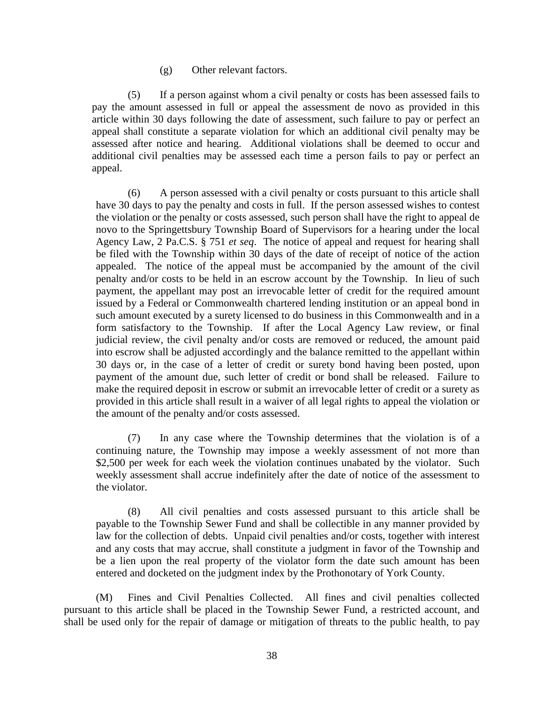(g) Other relevant factors.

(5) If a person against whom a civil penalty or costs has been assessed fails to pay the amount assessed in full or appeal the assessment de novo as provided in this article within 30 days following the date of assessment, such failure to pay or perfect an appeal shall constitute a separate violation for which an additional civil penalty may be assessed after notice and hearing. Additional violations shall be deemed to occur and additional civil penalties may be assessed each time a person fails to pay or perfect an appeal.

(6) A person assessed with a civil penalty or costs pursuant to this article shall have 30 days to pay the penalty and costs in full. If the person assessed wishes to contest the violation or the penalty or costs assessed, such person shall have the right to appeal de novo to the Springettsbury Township Board of Supervisors for a hearing under the local Agency Law, 2 Pa.C.S. § 751 *et seq*. The notice of appeal and request for hearing shall be filed with the Township within 30 days of the date of receipt of notice of the action appealed. The notice of the appeal must be accompanied by the amount of the civil penalty and/or costs to be held in an escrow account by the Township. In lieu of such payment, the appellant may post an irrevocable letter of credit for the required amount issued by a Federal or Commonwealth chartered lending institution or an appeal bond in such amount executed by a surety licensed to do business in this Commonwealth and in a form satisfactory to the Township. If after the Local Agency Law review, or final judicial review, the civil penalty and/or costs are removed or reduced, the amount paid into escrow shall be adjusted accordingly and the balance remitted to the appellant within 30 days or, in the case of a letter of credit or surety bond having been posted, upon payment of the amount due, such letter of credit or bond shall be released. Failure to make the required deposit in escrow or submit an irrevocable letter of credit or a surety as provided in this article shall result in a waiver of all legal rights to appeal the violation or the amount of the penalty and/or costs assessed.

(7) In any case where the Township determines that the violation is of a continuing nature, the Township may impose a weekly assessment of not more than \$2,500 per week for each week the violation continues unabated by the violator. Such weekly assessment shall accrue indefinitely after the date of notice of the assessment to the violator.

(8) All civil penalties and costs assessed pursuant to this article shall be payable to the Township Sewer Fund and shall be collectible in any manner provided by law for the collection of debts. Unpaid civil penalties and/or costs, together with interest and any costs that may accrue, shall constitute a judgment in favor of the Township and be a lien upon the real property of the violator form the date such amount has been entered and docketed on the judgment index by the Prothonotary of York County.

(M) Fines and Civil Penalties Collected. All fines and civil penalties collected pursuant to this article shall be placed in the Township Sewer Fund, a restricted account, and shall be used only for the repair of damage or mitigation of threats to the public health, to pay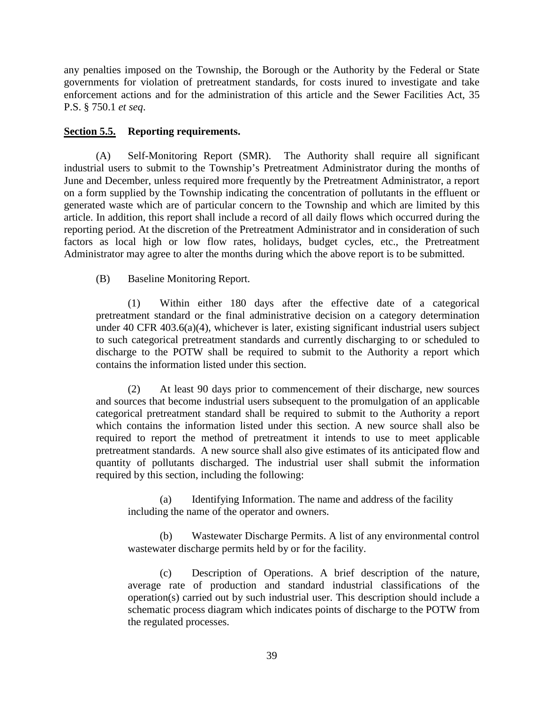any penalties imposed on the Township, the Borough or the Authority by the Federal or State governments for violation of pretreatment standards, for costs inured to investigate and take enforcement actions and for the administration of this article and the Sewer Facilities Act, 35 P.S. § 750.1 *et seq*.

# **Section 5.5. Reporting requirements.**

(A) Self-Monitoring Report (SMR). The Authority shall require all significant industrial users to submit to the Township's Pretreatment Administrator during the months of June and December, unless required more frequently by the Pretreatment Administrator, a report on a form supplied by the Township indicating the concentration of pollutants in the effluent or generated waste which are of particular concern to the Township and which are limited by this article. In addition, this report shall include a record of all daily flows which occurred during the reporting period. At the discretion of the Pretreatment Administrator and in consideration of such factors as local high or low flow rates, holidays, budget cycles, etc., the Pretreatment Administrator may agree to alter the months during which the above report is to be submitted.

(B) Baseline Monitoring Report.

(1) Within either 180 days after the effective date of a categorical pretreatment standard or the final administrative decision on a category determination under 40 CFR 403.6(a)(4), whichever is later, existing significant industrial users subject to such categorical pretreatment standards and currently discharging to or scheduled to discharge to the POTW shall be required to submit to the Authority a report which contains the information listed under this section.

(2) At least 90 days prior to commencement of their discharge, new sources and sources that become industrial users subsequent to the promulgation of an applicable categorical pretreatment standard shall be required to submit to the Authority a report which contains the information listed under this section. A new source shall also be required to report the method of pretreatment it intends to use to meet applicable pretreatment standards. A new source shall also give estimates of its anticipated flow and quantity of pollutants discharged. The industrial user shall submit the information required by this section, including the following:

(a) Identifying Information. The name and address of the facility including the name of the operator and owners.

(b) Wastewater Discharge Permits. A list of any environmental control wastewater discharge permits held by or for the facility.

(c) Description of Operations. A brief description of the nature, average rate of production and standard industrial classifications of the operation(s) carried out by such industrial user. This description should include a schematic process diagram which indicates points of discharge to the POTW from the regulated processes.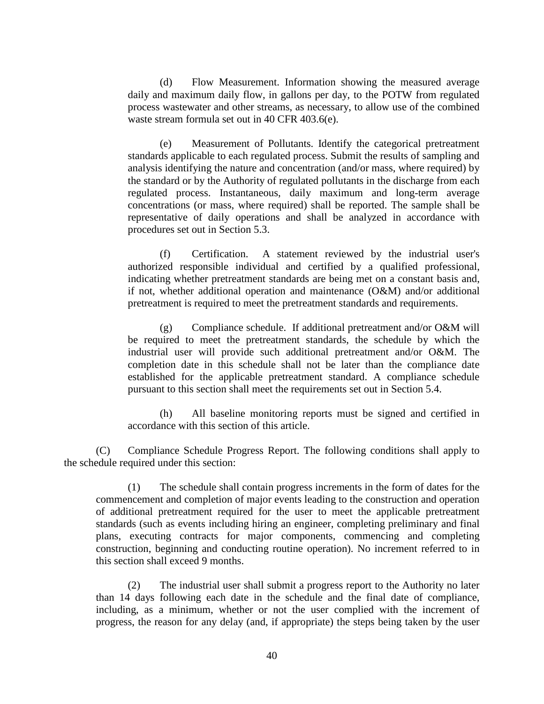(d) Flow Measurement. Information showing the measured average daily and maximum daily flow, in gallons per day, to the POTW from regulated process wastewater and other streams, as necessary, to allow use of the combined waste stream formula set out in 40 CFR 403.6(e).

(e) Measurement of Pollutants. Identify the categorical pretreatment standards applicable to each regulated process. Submit the results of sampling and analysis identifying the nature and concentration (and/or mass, where required) by the standard or by the Authority of regulated pollutants in the discharge from each regulated process. Instantaneous, daily maximum and long-term average concentrations (or mass, where required) shall be reported. The sample shall be representative of daily operations and shall be analyzed in accordance with procedures set out in Section 5.3.

(f) Certification. A statement reviewed by the industrial user's authorized responsible individual and certified by a qualified professional, indicating whether pretreatment standards are being met on a constant basis and, if not, whether additional operation and maintenance (O&M) and/or additional pretreatment is required to meet the pretreatment standards and requirements.

(g) Compliance schedule. If additional pretreatment and/or O&M will be required to meet the pretreatment standards, the schedule by which the industrial user will provide such additional pretreatment and/or O&M. The completion date in this schedule shall not be later than the compliance date established for the applicable pretreatment standard. A compliance schedule pursuant to this section shall meet the requirements set out in Section 5.4.

(h) All baseline monitoring reports must be signed and certified in accordance with this section of this article.

(C) Compliance Schedule Progress Report. The following conditions shall apply to the schedule required under this section:

(1) The schedule shall contain progress increments in the form of dates for the commencement and completion of major events leading to the construction and operation of additional pretreatment required for the user to meet the applicable pretreatment standards (such as events including hiring an engineer, completing preliminary and final plans, executing contracts for major components, commencing and completing construction, beginning and conducting routine operation). No increment referred to in this section shall exceed 9 months.

(2) The industrial user shall submit a progress report to the Authority no later than 14 days following each date in the schedule and the final date of compliance, including, as a minimum, whether or not the user complied with the increment of progress, the reason for any delay (and, if appropriate) the steps being taken by the user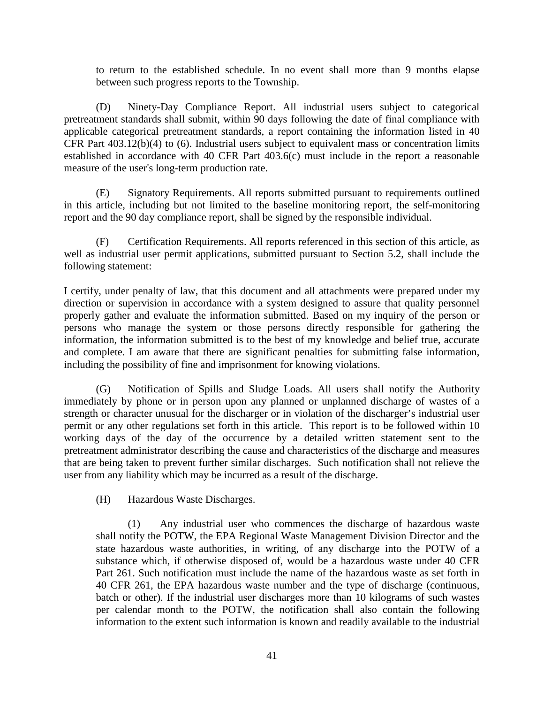to return to the established schedule. In no event shall more than 9 months elapse between such progress reports to the Township.

(D) Ninety-Day Compliance Report. All industrial users subject to categorical pretreatment standards shall submit, within 90 days following the date of final compliance with applicable categorical pretreatment standards, a report containing the information listed in 40 CFR Part 403.12(b)(4) to (6). Industrial users subject to equivalent mass or concentration limits established in accordance with 40 CFR Part 403.6(c) must include in the report a reasonable measure of the user's long-term production rate.

(E) Signatory Requirements. All reports submitted pursuant to requirements outlined in this article, including but not limited to the baseline monitoring report, the self-monitoring report and the 90 day compliance report, shall be signed by the responsible individual.

(F) Certification Requirements. All reports referenced in this section of this article, as well as industrial user permit applications, submitted pursuant to Section 5.2, shall include the following statement:

I certify, under penalty of law, that this document and all attachments were prepared under my direction or supervision in accordance with a system designed to assure that quality personnel properly gather and evaluate the information submitted. Based on my inquiry of the person or persons who manage the system or those persons directly responsible for gathering the information, the information submitted is to the best of my knowledge and belief true, accurate and complete. I am aware that there are significant penalties for submitting false information, including the possibility of fine and imprisonment for knowing violations.

(G) Notification of Spills and Sludge Loads. All users shall notify the Authority immediately by phone or in person upon any planned or unplanned discharge of wastes of a strength or character unusual for the discharger or in violation of the discharger's industrial user permit or any other regulations set forth in this article. This report is to be followed within 10 working days of the day of the occurrence by a detailed written statement sent to the pretreatment administrator describing the cause and characteristics of the discharge and measures that are being taken to prevent further similar discharges. Such notification shall not relieve the user from any liability which may be incurred as a result of the discharge.

(H) Hazardous Waste Discharges.

(1) Any industrial user who commences the discharge of hazardous waste shall notify the POTW, the EPA Regional Waste Management Division Director and the state hazardous waste authorities, in writing, of any discharge into the POTW of a substance which, if otherwise disposed of, would be a hazardous waste under 40 CFR Part 261. Such notification must include the name of the hazardous waste as set forth in 40 CFR 261, the EPA hazardous waste number and the type of discharge (continuous, batch or other). If the industrial user discharges more than 10 kilograms of such wastes per calendar month to the POTW, the notification shall also contain the following information to the extent such information is known and readily available to the industrial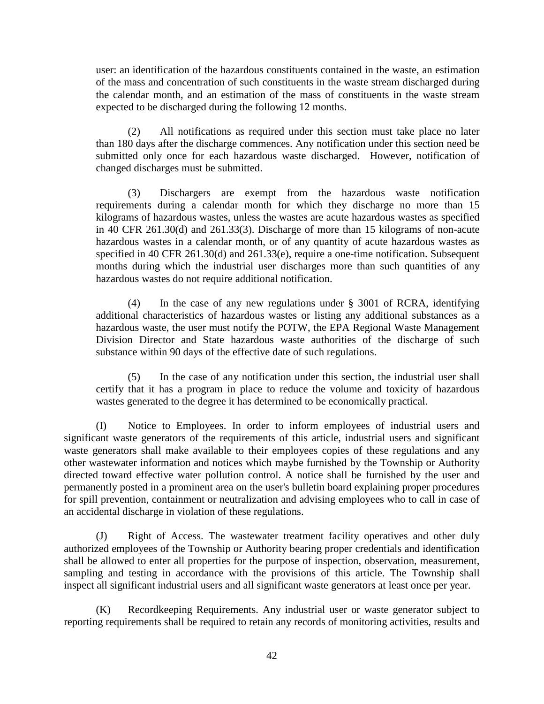user: an identification of the hazardous constituents contained in the waste, an estimation of the mass and concentration of such constituents in the waste stream discharged during the calendar month, and an estimation of the mass of constituents in the waste stream expected to be discharged during the following 12 months.

(2) All notifications as required under this section must take place no later than 180 days after the discharge commences. Any notification under this section need be submitted only once for each hazardous waste discharged. However, notification of changed discharges must be submitted.

(3) Dischargers are exempt from the hazardous waste notification requirements during a calendar month for which they discharge no more than 15 kilograms of hazardous wastes, unless the wastes are acute hazardous wastes as specified in 40 CFR 261.30(d) and 261.33(3). Discharge of more than 15 kilograms of non-acute hazardous wastes in a calendar month, or of any quantity of acute hazardous wastes as specified in 40 CFR 261.30(d) and 261.33(e), require a one-time notification. Subsequent months during which the industrial user discharges more than such quantities of any hazardous wastes do not require additional notification.

(4) In the case of any new regulations under § 3001 of RCRA, identifying additional characteristics of hazardous wastes or listing any additional substances as a hazardous waste, the user must notify the POTW, the EPA Regional Waste Management Division Director and State hazardous waste authorities of the discharge of such substance within 90 days of the effective date of such regulations.

(5) In the case of any notification under this section, the industrial user shall certify that it has a program in place to reduce the volume and toxicity of hazardous wastes generated to the degree it has determined to be economically practical.

(I) Notice to Employees. In order to inform employees of industrial users and significant waste generators of the requirements of this article, industrial users and significant waste generators shall make available to their employees copies of these regulations and any other wastewater information and notices which maybe furnished by the Township or Authority directed toward effective water pollution control. A notice shall be furnished by the user and permanently posted in a prominent area on the user's bulletin board explaining proper procedures for spill prevention, containment or neutralization and advising employees who to call in case of an accidental discharge in violation of these regulations.

(J) Right of Access. The wastewater treatment facility operatives and other duly authorized employees of the Township or Authority bearing proper credentials and identification shall be allowed to enter all properties for the purpose of inspection, observation, measurement, sampling and testing in accordance with the provisions of this article. The Township shall inspect all significant industrial users and all significant waste generators at least once per year.

(K) Recordkeeping Requirements. Any industrial user or waste generator subject to reporting requirements shall be required to retain any records of monitoring activities, results and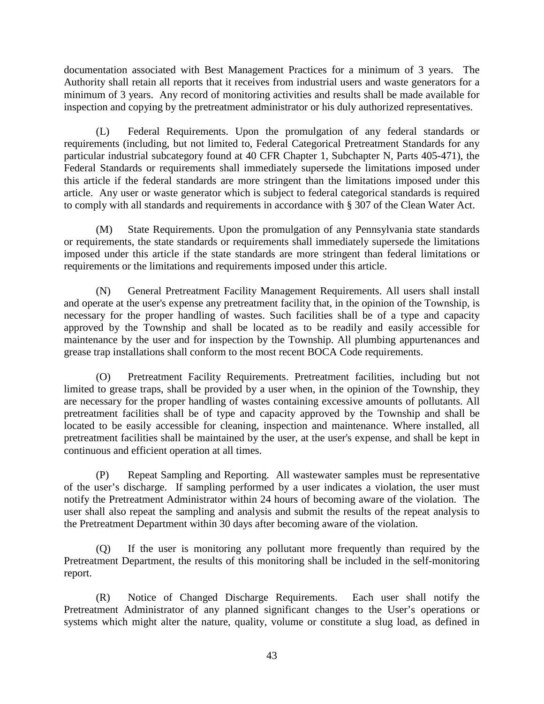documentation associated with Best Management Practices for a minimum of 3 years. The Authority shall retain all reports that it receives from industrial users and waste generators for a minimum of 3 years. Any record of monitoring activities and results shall be made available for inspection and copying by the pretreatment administrator or his duly authorized representatives.

(L) Federal Requirements. Upon the promulgation of any federal standards or requirements (including, but not limited to, Federal Categorical Pretreatment Standards for any particular industrial subcategory found at 40 CFR Chapter 1, Subchapter N, Parts 405-471), the Federal Standards or requirements shall immediately supersede the limitations imposed under this article if the federal standards are more stringent than the limitations imposed under this article. Any user or waste generator which is subject to federal categorical standards is required to comply with all standards and requirements in accordance with § 307 of the Clean Water Act.

(M) State Requirements. Upon the promulgation of any Pennsylvania state standards or requirements, the state standards or requirements shall immediately supersede the limitations imposed under this article if the state standards are more stringent than federal limitations or requirements or the limitations and requirements imposed under this article.

(N) General Pretreatment Facility Management Requirements. All users shall install and operate at the user's expense any pretreatment facility that, in the opinion of the Township, is necessary for the proper handling of wastes. Such facilities shall be of a type and capacity approved by the Township and shall be located as to be readily and easily accessible for maintenance by the user and for inspection by the Township. All plumbing appurtenances and grease trap installations shall conform to the most recent BOCA Code requirements.

(O) Pretreatment Facility Requirements. Pretreatment facilities, including but not limited to grease traps, shall be provided by a user when, in the opinion of the Township, they are necessary for the proper handling of wastes containing excessive amounts of pollutants. All pretreatment facilities shall be of type and capacity approved by the Township and shall be located to be easily accessible for cleaning, inspection and maintenance. Where installed, all pretreatment facilities shall be maintained by the user, at the user's expense, and shall be kept in continuous and efficient operation at all times.

(P) Repeat Sampling and Reporting. All wastewater samples must be representative of the user's discharge. If sampling performed by a user indicates a violation, the user must notify the Pretreatment Administrator within 24 hours of becoming aware of the violation. The user shall also repeat the sampling and analysis and submit the results of the repeat analysis to the Pretreatment Department within 30 days after becoming aware of the violation.

(Q) If the user is monitoring any pollutant more frequently than required by the Pretreatment Department, the results of this monitoring shall be included in the self-monitoring report.

(R) Notice of Changed Discharge Requirements. Each user shall notify the Pretreatment Administrator of any planned significant changes to the User's operations or systems which might alter the nature, quality, volume or constitute a slug load, as defined in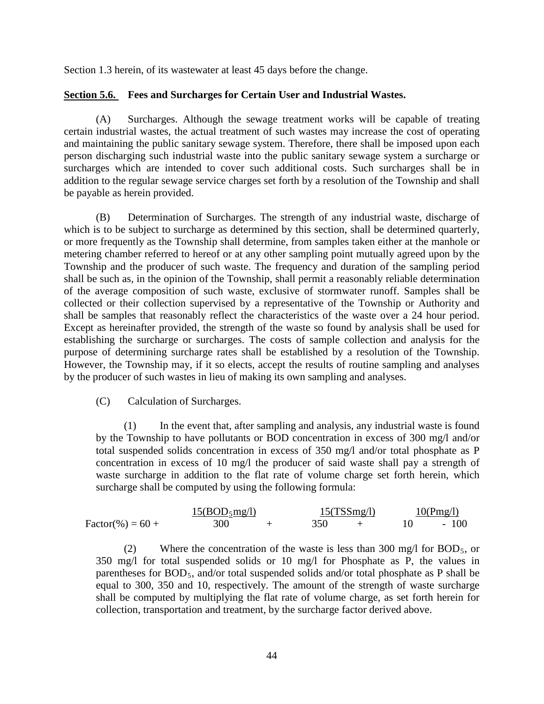Section 1.3 herein, of its wastewater at least 45 days before the change.

# **Section 5.6. Fees and Surcharges for Certain User and Industrial Wastes.**

(A) Surcharges. Although the sewage treatment works will be capable of treating certain industrial wastes, the actual treatment of such wastes may increase the cost of operating and maintaining the public sanitary sewage system. Therefore, there shall be imposed upon each person discharging such industrial waste into the public sanitary sewage system a surcharge or surcharges which are intended to cover such additional costs. Such surcharges shall be in addition to the regular sewage service charges set forth by a resolution of the Township and shall be payable as herein provided.

(B) Determination of Surcharges. The strength of any industrial waste, discharge of which is to be subject to surcharge as determined by this section, shall be determined quarterly, or more frequently as the Township shall determine, from samples taken either at the manhole or metering chamber referred to hereof or at any other sampling point mutually agreed upon by the Township and the producer of such waste. The frequency and duration of the sampling period shall be such as, in the opinion of the Township, shall permit a reasonably reliable determination of the average composition of such waste, exclusive of stormwater runoff. Samples shall be collected or their collection supervised by a representative of the Township or Authority and shall be samples that reasonably reflect the characteristics of the waste over a 24 hour period. Except as hereinafter provided, the strength of the waste so found by analysis shall be used for establishing the surcharge or surcharges. The costs of sample collection and analysis for the purpose of determining surcharge rates shall be established by a resolution of the Township. However, the Township may, if it so elects, accept the results of routine sampling and analyses by the producer of such wastes in lieu of making its own sampling and analyses.

#### (C) Calculation of Surcharges.

(1) In the event that, after sampling and analysis, any industrial waste is found by the Township to have pollutants or BOD concentration in excess of 300 mg/l and/or total suspended solids concentration in excess of 350 mg/l and/or total phosphate as P concentration in excess of 10 mg/l the producer of said waste shall pay a strength of waste surcharge in addition to the flat rate of volume charge set forth herein, which surcharge shall be computed by using the following formula:

Factor(
$$
\%
$$
) = 60 +  $\frac{15(BOD_{5}mg/1)}{300}$  +  $\frac{15(TSSmg/1)}{350}$  +  $10\frac{10(Pmg/1)}{100}$ 

(2) Where the concentration of the waste is less than 300 mg/l for  $BOD_5$ , or 350 mg/l for total suspended solids or 10 mg/l for Phosphate as P, the values in parentheses for  $BOD_5$ , and/or total suspended solids and/or total phosphate as P shall be equal to 300, 350 and 10, respectively. The amount of the strength of waste surcharge shall be computed by multiplying the flat rate of volume charge, as set forth herein for collection, transportation and treatment, by the surcharge factor derived above.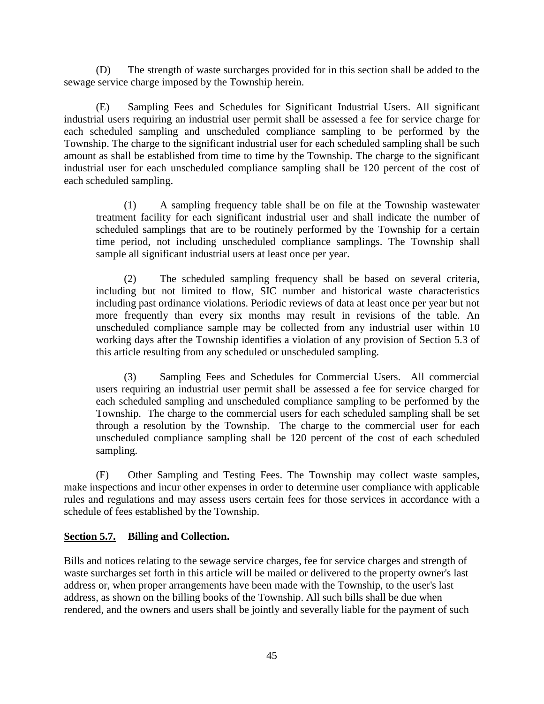(D) The strength of waste surcharges provided for in this section shall be added to the sewage service charge imposed by the Township herein.

(E) Sampling Fees and Schedules for Significant Industrial Users. All significant industrial users requiring an industrial user permit shall be assessed a fee for service charge for each scheduled sampling and unscheduled compliance sampling to be performed by the Township. The charge to the significant industrial user for each scheduled sampling shall be such amount as shall be established from time to time by the Township. The charge to the significant industrial user for each unscheduled compliance sampling shall be 120 percent of the cost of each scheduled sampling.

(1) A sampling frequency table shall be on file at the Township wastewater treatment facility for each significant industrial user and shall indicate the number of scheduled samplings that are to be routinely performed by the Township for a certain time period, not including unscheduled compliance samplings. The Township shall sample all significant industrial users at least once per year.

(2) The scheduled sampling frequency shall be based on several criteria, including but not limited to flow, SIC number and historical waste characteristics including past ordinance violations. Periodic reviews of data at least once per year but not more frequently than every six months may result in revisions of the table. An unscheduled compliance sample may be collected from any industrial user within 10 working days after the Township identifies a violation of any provision of Section 5.3 of this article resulting from any scheduled or unscheduled sampling.

(3) Sampling Fees and Schedules for Commercial Users. All commercial users requiring an industrial user permit shall be assessed a fee for service charged for each scheduled sampling and unscheduled compliance sampling to be performed by the Township. The charge to the commercial users for each scheduled sampling shall be set through a resolution by the Township. The charge to the commercial user for each unscheduled compliance sampling shall be 120 percent of the cost of each scheduled sampling.

(F) Other Sampling and Testing Fees. The Township may collect waste samples, make inspections and incur other expenses in order to determine user compliance with applicable rules and regulations and may assess users certain fees for those services in accordance with a schedule of fees established by the Township.

# **Section 5.7. Billing and Collection.**

Bills and notices relating to the sewage service charges, fee for service charges and strength of waste surcharges set forth in this article will be mailed or delivered to the property owner's last address or, when proper arrangements have been made with the Township, to the user's last address, as shown on the billing books of the Township. All such bills shall be due when rendered, and the owners and users shall be jointly and severally liable for the payment of such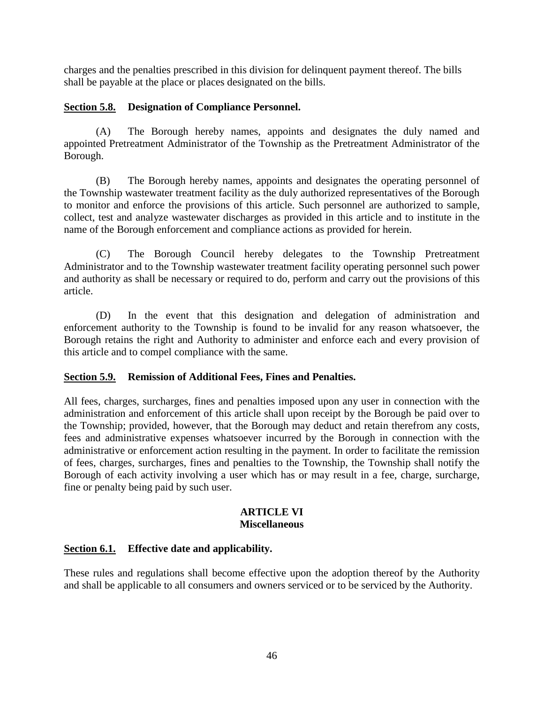charges and the penalties prescribed in this division for delinquent payment thereof. The bills shall be payable at the place or places designated on the bills.

# **Section 5.8. Designation of Compliance Personnel.**

(A) The Borough hereby names, appoints and designates the duly named and appointed Pretreatment Administrator of the Township as the Pretreatment Administrator of the Borough.

(B) The Borough hereby names, appoints and designates the operating personnel of the Township wastewater treatment facility as the duly authorized representatives of the Borough to monitor and enforce the provisions of this article. Such personnel are authorized to sample, collect, test and analyze wastewater discharges as provided in this article and to institute in the name of the Borough enforcement and compliance actions as provided for herein.

(C) The Borough Council hereby delegates to the Township Pretreatment Administrator and to the Township wastewater treatment facility operating personnel such power and authority as shall be necessary or required to do, perform and carry out the provisions of this article.

(D) In the event that this designation and delegation of administration and enforcement authority to the Township is found to be invalid for any reason whatsoever, the Borough retains the right and Authority to administer and enforce each and every provision of this article and to compel compliance with the same.

# **Section 5.9. Remission of Additional Fees, Fines and Penalties.**

All fees, charges, surcharges, fines and penalties imposed upon any user in connection with the administration and enforcement of this article shall upon receipt by the Borough be paid over to the Township; provided, however, that the Borough may deduct and retain therefrom any costs, fees and administrative expenses whatsoever incurred by the Borough in connection with the administrative or enforcement action resulting in the payment. In order to facilitate the remission of fees, charges, surcharges, fines and penalties to the Township, the Township shall notify the Borough of each activity involving a user which has or may result in a fee, charge, surcharge, fine or penalty being paid by such user.

#### **ARTICLE VI Miscellaneous**

# **Section 6.1. Effective date and applicability.**

These rules and regulations shall become effective upon the adoption thereof by the Authority and shall be applicable to all consumers and owners serviced or to be serviced by the Authority.